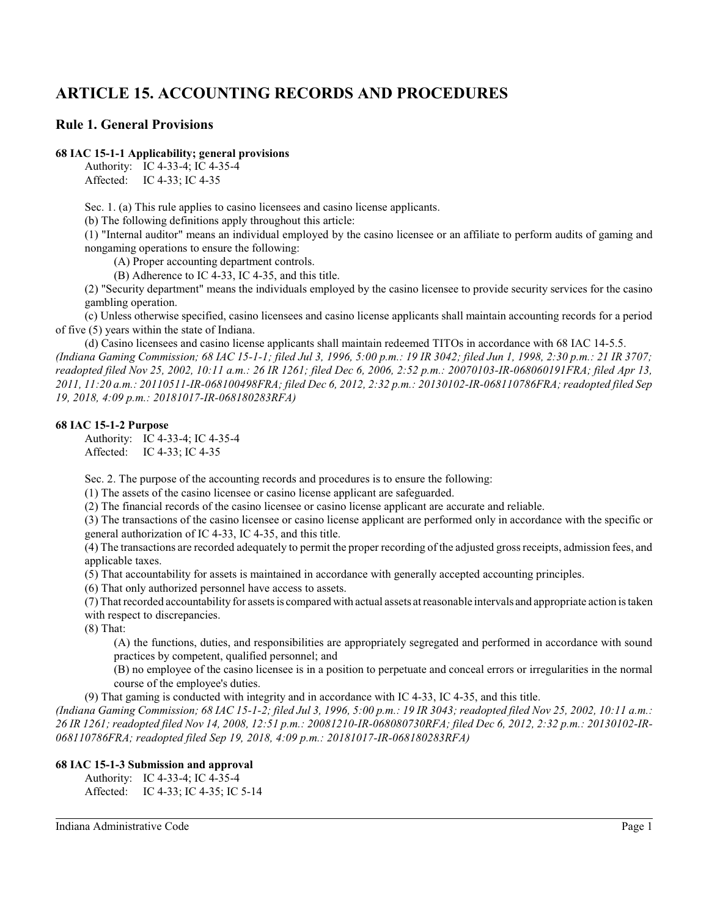# **ARTICLE 15. ACCOUNTING RECORDS AND PROCEDURES**

# **Rule 1. General Provisions**

### **68 IAC 15-1-1 Applicability; general provisions**

Authority: IC 4-33-4; IC 4-35-4 Affected: IC 4-33; IC 4-35

Sec. 1. (a) This rule applies to casino licensees and casino license applicants.

(b) The following definitions apply throughout this article:

(1) "Internal auditor" means an individual employed by the casino licensee or an affiliate to perform audits of gaming and nongaming operations to ensure the following:

(A) Proper accounting department controls.

(B) Adherence to IC 4-33, IC 4-35, and this title.

(2) "Security department" means the individuals employed by the casino licensee to provide security services for the casino gambling operation.

(c) Unless otherwise specified, casino licensees and casino license applicants shall maintain accounting records for a period of five (5) years within the state of Indiana.

(d) Casino licensees and casino license applicants shall maintain redeemed TITOs in accordance with 68 IAC 14-5.5. *(Indiana Gaming Commission; 68 IAC 15-1-1; filed Jul 3, 1996, 5:00 p.m.: 19 IR 3042; filed Jun 1, 1998, 2:30 p.m.: 21 IR 3707; readopted filed Nov 25, 2002, 10:11 a.m.: 26 IR 1261; filed Dec 6, 2006, 2:52 p.m.: 20070103-IR-068060191FRA; filed Apr 13, 2011, 11:20 a.m.: 20110511-IR-068100498FRA; filed Dec 6, 2012, 2:32 p.m.: 20130102-IR-068110786FRA; readopted filed Sep 19, 2018, 4:09 p.m.: 20181017-IR-068180283RFA)*

### **68 IAC 15-1-2 Purpose**

Authority: IC 4-33-4; IC 4-35-4 Affected: IC 4-33; IC 4-35

Sec. 2. The purpose of the accounting records and procedures is to ensure the following:

(1) The assets of the casino licensee or casino license applicant are safeguarded.

(2) The financial records of the casino licensee or casino license applicant are accurate and reliable.

(3) The transactions of the casino licensee or casino license applicant are performed only in accordance with the specific or general authorization of IC 4-33, IC 4-35, and this title.

(4) The transactions are recorded adequately to permit the proper recording of the adjusted gross receipts, admission fees, and applicable taxes.

(5) That accountability for assets is maintained in accordance with generally accepted accounting principles.

(6) That only authorized personnel have access to assets.

(7) That recorded accountability for assets is compared with actual assets at reasonable intervals and appropriate action is taken with respect to discrepancies.

(8) That:

(A) the functions, duties, and responsibilities are appropriately segregated and performed in accordance with sound practices by competent, qualified personnel; and

(B) no employee of the casino licensee is in a position to perpetuate and conceal errors or irregularities in the normal course of the employee's duties.

(9) That gaming is conducted with integrity and in accordance with IC 4-33, IC 4-35, and this title.

*(Indiana Gaming Commission; 68 IAC 15-1-2; filed Jul 3, 1996, 5:00 p.m.: 19 IR 3043; readopted filed Nov 25, 2002, 10:11 a.m.: 26 IR 1261; readopted filed Nov 14, 2008, 12:51 p.m.: 20081210-IR-068080730RFA; filed Dec 6, 2012, 2:32 p.m.: 20130102-IR-068110786FRA; readopted filed Sep 19, 2018, 4:09 p.m.: 20181017-IR-068180283RFA)*

# **68 IAC 15-1-3 Submission and approval**

Authority: IC 4-33-4; IC 4-35-4 Affected: IC 4-33; IC 4-35; IC 5-14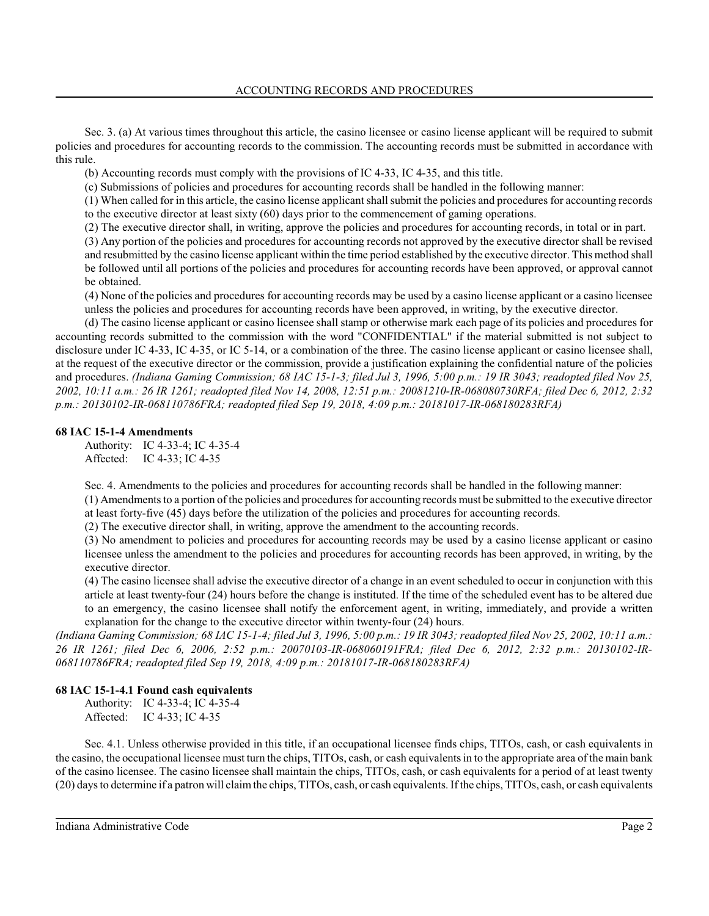Sec. 3. (a) At various times throughout this article, the casino licensee or casino license applicant will be required to submit policies and procedures for accounting records to the commission. The accounting records must be submitted in accordance with this rule.

(b) Accounting records must comply with the provisions of IC 4-33, IC 4-35, and this title.

(c) Submissions of policies and procedures for accounting records shall be handled in the following manner:

(1) When called for in this article, the casino license applicant shall submit the policies and procedures for accounting records to the executive director at least sixty (60) days prior to the commencement of gaming operations.

(2) The executive director shall, in writing, approve the policies and procedures for accounting records, in total or in part.

(3) Any portion of the policies and procedures for accounting records not approved by the executive director shall be revised and resubmitted by the casino license applicant within the time period established by the executive director. This method shall be followed until all portions of the policies and procedures for accounting records have been approved, or approval cannot be obtained.

(4) None of the policies and procedures for accounting records may be used by a casino license applicant or a casino licensee unless the policies and procedures for accounting records have been approved, in writing, by the executive director.

(d) The casino license applicant or casino licensee shall stamp or otherwise mark each page of its policies and procedures for accounting records submitted to the commission with the word "CONFIDENTIAL" if the material submitted is not subject to disclosure under IC 4-33, IC 4-35, or IC 5-14, or a combination of the three. The casino license applicant or casino licensee shall, at the request of the executive director or the commission, provide a justification explaining the confidential nature of the policies and procedures. *(Indiana Gaming Commission; 68 IAC 15-1-3; filed Jul 3, 1996, 5:00 p.m.: 19 IR 3043; readopted filed Nov 25, 2002, 10:11 a.m.: 26 IR 1261; readopted filed Nov 14, 2008, 12:51 p.m.: 20081210-IR-068080730RFA; filed Dec 6, 2012, 2:32 p.m.: 20130102-IR-068110786FRA; readopted filed Sep 19, 2018, 4:09 p.m.: 20181017-IR-068180283RFA)*

# **68 IAC 15-1-4 Amendments**

Authority: IC 4-33-4; IC 4-35-4 Affected: IC 4-33; IC 4-35

Sec. 4. Amendments to the policies and procedures for accounting records shall be handled in the following manner:

(1) Amendments to a portion of the policies and procedures for accounting records must be submitted to the executive director at least forty-five (45) days before the utilization of the policies and procedures for accounting records.

(2) The executive director shall, in writing, approve the amendment to the accounting records.

(3) No amendment to policies and procedures for accounting records may be used by a casino license applicant or casino licensee unless the amendment to the policies and procedures for accounting records has been approved, in writing, by the executive director.

(4) The casino licensee shall advise the executive director of a change in an event scheduled to occur in conjunction with this article at least twenty-four (24) hours before the change is instituted. If the time of the scheduled event has to be altered due to an emergency, the casino licensee shall notify the enforcement agent, in writing, immediately, and provide a written explanation for the change to the executive director within twenty-four (24) hours.

*(Indiana Gaming Commission; 68 IAC 15-1-4; filed Jul 3, 1996, 5:00 p.m.: 19 IR 3043; readopted filed Nov 25, 2002, 10:11 a.m.: 26 IR 1261; filed Dec 6, 2006, 2:52 p.m.: 20070103-IR-068060191FRA; filed Dec 6, 2012, 2:32 p.m.: 20130102-IR-068110786FRA; readopted filed Sep 19, 2018, 4:09 p.m.: 20181017-IR-068180283RFA)*

# **68 IAC 15-1-4.1 Found cash equivalents**

Authority: IC 4-33-4; IC 4-35-4 Affected: IC 4-33; IC 4-35

Sec. 4.1. Unless otherwise provided in this title, if an occupational licensee finds chips, TITOs, cash, or cash equivalents in the casino, the occupational licensee must turn the chips, TITOs, cash, or cash equivalentsin to the appropriate area of the main bank of the casino licensee. The casino licensee shall maintain the chips, TITOs, cash, or cash equivalents for a period of at least twenty (20) days to determine if a patron will claimthe chips, TITOs, cash, or cash equivalents. If the chips, TITOs, cash, or cash equivalents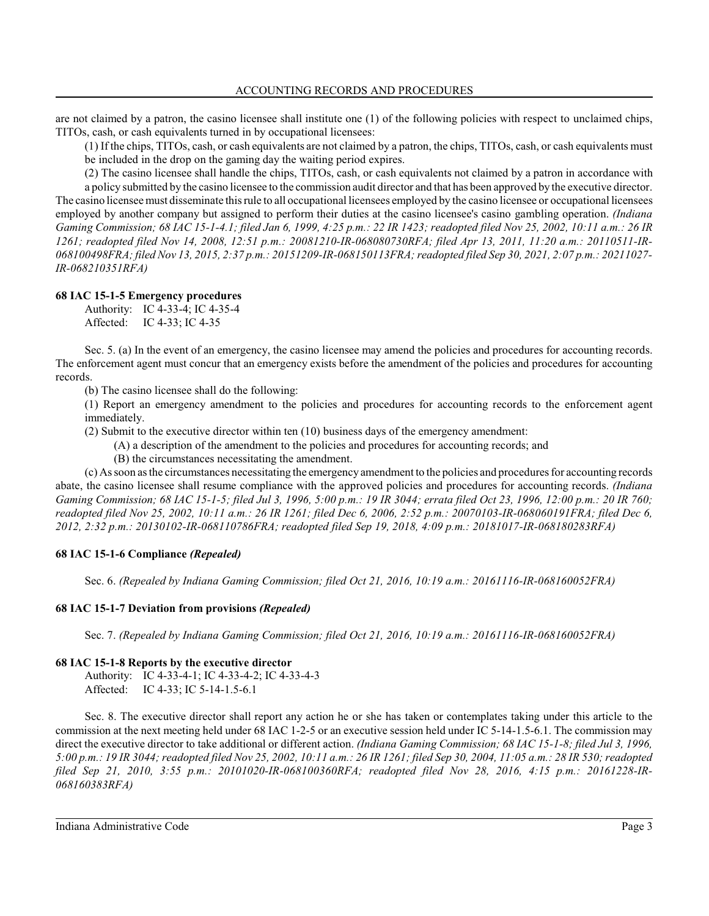are not claimed by a patron, the casino licensee shall institute one (1) of the following policies with respect to unclaimed chips, TITOs, cash, or cash equivalents turned in by occupational licensees:

(1) If the chips, TITOs, cash, or cash equivalents are not claimed by a patron, the chips, TITOs, cash, or cash equivalents must be included in the drop on the gaming day the waiting period expires.

(2) The casino licensee shall handle the chips, TITOs, cash, or cash equivalents not claimed by a patron in accordance with a policy submitted by the casino licensee to the commission audit director and that has been approved by the executive director. The casino licensee must disseminate thisrule to all occupational licensees employed by the casino licensee or occupational licensees employed by another company but assigned to perform their duties at the casino licensee's casino gambling operation. *(Indiana Gaming Commission; 68 IAC 15-1-4.1; filed Jan 6, 1999, 4:25 p.m.: 22 IR 1423; readopted filed Nov 25, 2002, 10:11 a.m.: 26 IR 1261; readopted filed Nov 14, 2008, 12:51 p.m.: 20081210-IR-068080730RFA; filed Apr 13, 2011, 11:20 a.m.: 20110511-IR-068100498FRA; filed Nov 13, 2015, 2:37 p.m.: 20151209-IR-068150113FRA; readopted filed Sep 30, 2021, 2:07 p.m.: 20211027- IR-068210351RFA)*

# **68 IAC 15-1-5 Emergency procedures**

Authority: IC 4-33-4; IC 4-35-4 Affected: IC 4-33; IC 4-35

Sec. 5. (a) In the event of an emergency, the casino licensee may amend the policies and procedures for accounting records. The enforcement agent must concur that an emergency exists before the amendment of the policies and procedures for accounting records.

(b) The casino licensee shall do the following:

(1) Report an emergency amendment to the policies and procedures for accounting records to the enforcement agent immediately.

(2) Submit to the executive director within ten (10) business days of the emergency amendment:

(A) a description of the amendment to the policies and procedures for accounting records; and

(B) the circumstances necessitating the amendment.

(c) As soon as the circumstances necessitating the emergency amendment to the policies and procedures for accounting records abate, the casino licensee shall resume compliance with the approved policies and procedures for accounting records. *(Indiana Gaming Commission; 68 IAC 15-1-5; filed Jul 3, 1996, 5:00 p.m.: 19 IR 3044; errata filed Oct 23, 1996, 12:00 p.m.: 20 IR 760; readopted filed Nov 25, 2002, 10:11 a.m.: 26 IR 1261; filed Dec 6, 2006, 2:52 p.m.: 20070103-IR-068060191FRA; filed Dec 6, 2012, 2:32 p.m.: 20130102-IR-068110786FRA; readopted filed Sep 19, 2018, 4:09 p.m.: 20181017-IR-068180283RFA)*

# **68 IAC 15-1-6 Compliance** *(Repealed)*

Sec. 6. *(Repealed by Indiana Gaming Commission; filed Oct 21, 2016, 10:19 a.m.: 20161116-IR-068160052FRA)*

# **68 IAC 15-1-7 Deviation from provisions** *(Repealed)*

Sec. 7. *(Repealed by Indiana Gaming Commission; filed Oct 21, 2016, 10:19 a.m.: 20161116-IR-068160052FRA)*

# **68 IAC 15-1-8 Reports by the executive director**

Authority: IC 4-33-4-1; IC 4-33-4-2; IC 4-33-4-3 Affected: IC 4-33; IC 5-14-1.5-6.1

Sec. 8. The executive director shall report any action he or she has taken or contemplates taking under this article to the commission at the next meeting held under 68 IAC 1-2-5 or an executive session held under IC 5-14-1.5-6.1. The commission may direct the executive director to take additional or different action. *(Indiana Gaming Commission; 68 IAC 15-1-8; filed Jul 3, 1996, 5:00 p.m.: 19 IR 3044; readopted filed Nov 25, 2002, 10:11 a.m.: 26 IR 1261; filed Sep 30, 2004, 11:05 a.m.: 28 IR 530; readopted filed Sep 21, 2010, 3:55 p.m.: 20101020-IR-068100360RFA; readopted filed Nov 28, 2016, 4:15 p.m.: 20161228-IR-068160383RFA)*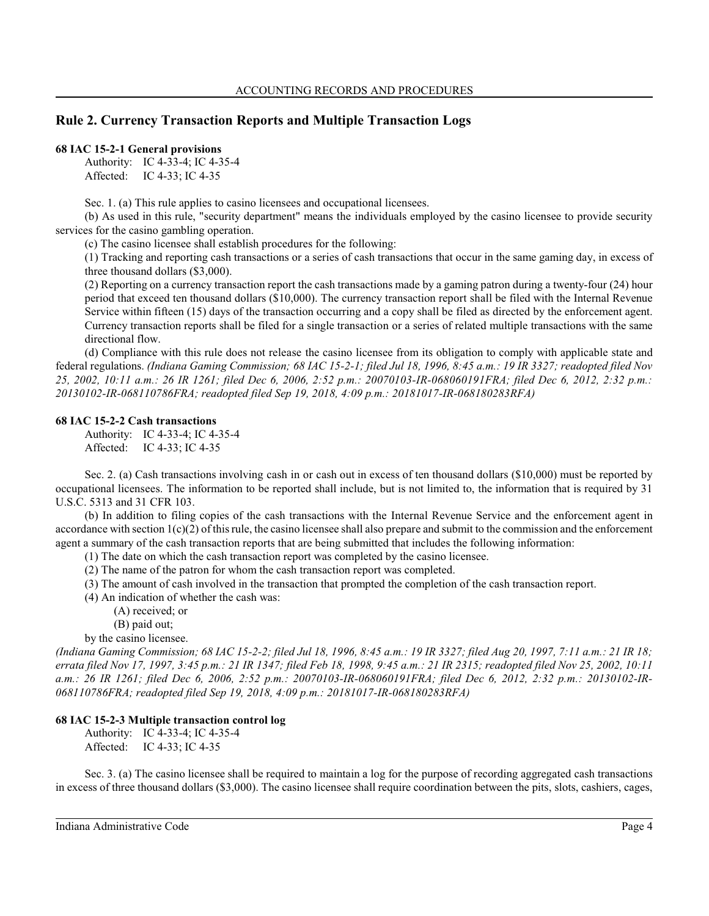# **Rule 2. Currency Transaction Reports and Multiple Transaction Logs**

### **68 IAC 15-2-1 General provisions**

Authority: IC 4-33-4; IC 4-35-4 Affected: IC 4-33; IC 4-35

Sec. 1. (a) This rule applies to casino licensees and occupational licensees.

(b) As used in this rule, "security department" means the individuals employed by the casino licensee to provide security services for the casino gambling operation.

(c) The casino licensee shall establish procedures for the following:

(1) Tracking and reporting cash transactions or a series of cash transactions that occur in the same gaming day, in excess of three thousand dollars (\$3,000).

(2) Reporting on a currency transaction report the cash transactions made by a gaming patron during a twenty-four (24) hour period that exceed ten thousand dollars (\$10,000). The currency transaction report shall be filed with the Internal Revenue Service within fifteen (15) days of the transaction occurring and a copy shall be filed as directed by the enforcement agent. Currency transaction reports shall be filed for a single transaction or a series of related multiple transactions with the same directional flow.

(d) Compliance with this rule does not release the casino licensee from its obligation to comply with applicable state and federal regulations. *(Indiana Gaming Commission; 68 IAC 15-2-1; filed Jul 18, 1996, 8:45 a.m.: 19 IR 3327; readopted filed Nov 25, 2002, 10:11 a.m.: 26 IR 1261; filed Dec 6, 2006, 2:52 p.m.: 20070103-IR-068060191FRA; filed Dec 6, 2012, 2:32 p.m.: 20130102-IR-068110786FRA; readopted filed Sep 19, 2018, 4:09 p.m.: 20181017-IR-068180283RFA)*

#### **68 IAC 15-2-2 Cash transactions**

Authority: IC 4-33-4; IC 4-35-4 Affected: IC 4-33; IC 4-35

Sec. 2. (a) Cash transactions involving cash in or cash out in excess of ten thousand dollars (\$10,000) must be reported by occupational licensees. The information to be reported shall include, but is not limited to, the information that is required by 31 U.S.C. 5313 and 31 CFR 103.

(b) In addition to filing copies of the cash transactions with the Internal Revenue Service and the enforcement agent in accordance with section 1(c)(2) of thisrule, the casino licensee shall also prepare and submit to the commission and the enforcement agent a summary of the cash transaction reports that are being submitted that includes the following information:

- (1) The date on which the cash transaction report was completed by the casino licensee.
- (2) The name of the patron for whom the cash transaction report was completed.
- (3) The amount of cash involved in the transaction that prompted the completion of the cash transaction report.
- (4) An indication of whether the cash was:
	- (A) received; or
	- (B) paid out;

by the casino licensee.

*(Indiana Gaming Commission; 68 IAC 15-2-2; filed Jul 18, 1996, 8:45 a.m.: 19 IR 3327; filed Aug 20, 1997, 7:11 a.m.: 21 IR 18; errata filed Nov 17, 1997, 3:45 p.m.: 21 IR 1347; filed Feb 18, 1998, 9:45 a.m.: 21 IR 2315; readopted filed Nov 25, 2002, 10:11 a.m.: 26 IR 1261; filed Dec 6, 2006, 2:52 p.m.: 20070103-IR-068060191FRA; filed Dec 6, 2012, 2:32 p.m.: 20130102-IR-068110786FRA; readopted filed Sep 19, 2018, 4:09 p.m.: 20181017-IR-068180283RFA)*

### **68 IAC 15-2-3 Multiple transaction control log**

Authority: IC 4-33-4; IC 4-35-4 Affected: IC 4-33; IC 4-35

Sec. 3. (a) The casino licensee shall be required to maintain a log for the purpose of recording aggregated cash transactions in excess of three thousand dollars (\$3,000). The casino licensee shall require coordination between the pits, slots, cashiers, cages,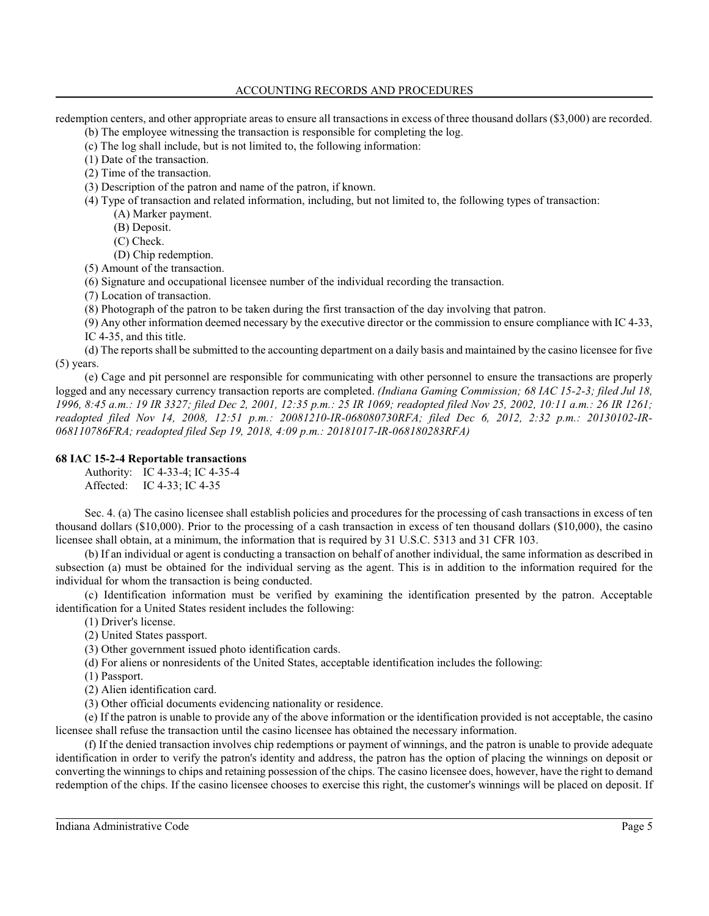# ACCOUNTING RECORDS AND PROCEDURES

redemption centers, and other appropriate areas to ensure all transactions in excess of three thousand dollars (\$3,000) are recorded.

- (b) The employee witnessing the transaction is responsible for completing the log.
- (c) The log shall include, but is not limited to, the following information:
- (1) Date of the transaction.
- (2) Time of the transaction.

(3) Description of the patron and name of the patron, if known.

- (4) Type of transaction and related information, including, but not limited to, the following types of transaction:
	- (A) Marker payment.
	- (B) Deposit.
	- (C) Check.
	- (D) Chip redemption.
- (5) Amount of the transaction.
- (6) Signature and occupational licensee number of the individual recording the transaction.
- (7) Location of transaction.
- (8) Photograph of the patron to be taken during the first transaction of the day involving that patron.

(9) Any other information deemed necessary by the executive director or the commission to ensure compliance with IC 4-33, IC 4-35, and this title.

(d) The reports shall be submitted to the accounting department on a daily basis and maintained by the casino licensee for five (5) years.

(e) Cage and pit personnel are responsible for communicating with other personnel to ensure the transactions are properly logged and any necessary currency transaction reports are completed. *(Indiana Gaming Commission; 68 IAC 15-2-3; filed Jul 18, 1996, 8:45 a.m.: 19 IR 3327; filed Dec 2, 2001, 12:35 p.m.: 25 IR 1069; readopted filed Nov 25, 2002, 10:11 a.m.: 26 IR 1261; readopted filed Nov 14, 2008, 12:51 p.m.: 20081210-IR-068080730RFA; filed Dec 6, 2012, 2:32 p.m.: 20130102-IR-068110786FRA; readopted filed Sep 19, 2018, 4:09 p.m.: 20181017-IR-068180283RFA)*

# **68 IAC 15-2-4 Reportable transactions**

Authority: IC 4-33-4; IC 4-35-4 Affected: IC 4-33; IC 4-35

Sec. 4. (a) The casino licensee shall establish policies and procedures for the processing of cash transactions in excess of ten thousand dollars (\$10,000). Prior to the processing of a cash transaction in excess of ten thousand dollars (\$10,000), the casino licensee shall obtain, at a minimum, the information that is required by 31 U.S.C. 5313 and 31 CFR 103.

(b) If an individual or agent is conducting a transaction on behalf of another individual, the same information as described in subsection (a) must be obtained for the individual serving as the agent. This is in addition to the information required for the individual for whom the transaction is being conducted.

(c) Identification information must be verified by examining the identification presented by the patron. Acceptable identification for a United States resident includes the following:

(1) Driver's license.

(2) United States passport.

(3) Other government issued photo identification cards.

(d) For aliens or nonresidents of the United States, acceptable identification includes the following:

(1) Passport.

(2) Alien identification card.

(3) Other official documents evidencing nationality or residence.

(e) If the patron is unable to provide any of the above information or the identification provided is not acceptable, the casino licensee shall refuse the transaction until the casino licensee has obtained the necessary information.

(f) If the denied transaction involves chip redemptions or payment of winnings, and the patron is unable to provide adequate identification in order to verify the patron's identity and address, the patron has the option of placing the winnings on deposit or converting the winnings to chips and retaining possession of the chips. The casino licensee does, however, have the right to demand redemption of the chips. If the casino licensee chooses to exercise this right, the customer's winnings will be placed on deposit. If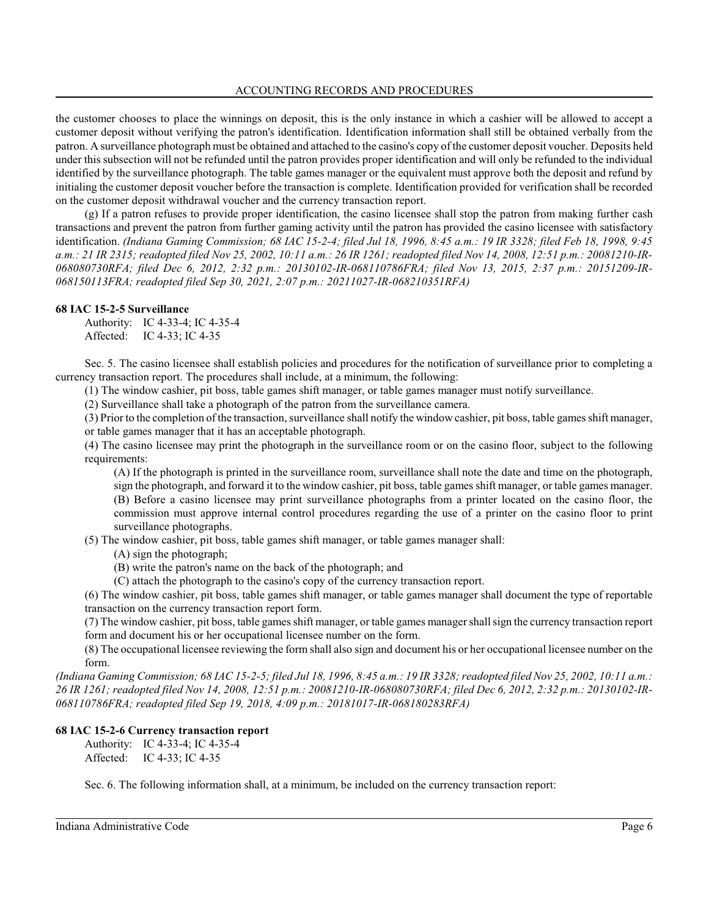the customer chooses to place the winnings on deposit, this is the only instance in which a cashier will be allowed to accept a customer deposit without verifying the patron's identification. Identification information shall still be obtained verbally from the patron. A surveillance photograph must be obtained and attached to the casino's copy of the customer deposit voucher. Deposits held under thissubsection will not be refunded until the patron provides proper identification and will only be refunded to the individual identified by the surveillance photograph. The table games manager or the equivalent must approve both the deposit and refund by initialing the customer deposit voucher before the transaction is complete. Identification provided for verification shall be recorded on the customer deposit withdrawal voucher and the currency transaction report.

(g) If a patron refuses to provide proper identification, the casino licensee shall stop the patron from making further cash transactions and prevent the patron from further gaming activity until the patron has provided the casino licensee with satisfactory identification. *(Indiana Gaming Commission; 68 IAC 15-2-4; filed Jul 18, 1996, 8:45 a.m.: 19 IR 3328; filed Feb 18, 1998, 9:45 a.m.: 21 IR 2315; readopted filed Nov 25, 2002, 10:11 a.m.: 26 IR 1261; readopted filed Nov 14, 2008, 12:51 p.m.: 20081210-IR-068080730RFA; filed Dec 6, 2012, 2:32 p.m.: 20130102-IR-068110786FRA; filed Nov 13, 2015, 2:37 p.m.: 20151209-IR-068150113FRA; readopted filed Sep 30, 2021, 2:07 p.m.: 20211027-IR-068210351RFA)*

# **68 IAC 15-2-5 Surveillance**

Authority: IC 4-33-4; IC 4-35-4 Affected: IC 4-33; IC 4-35

Sec. 5. The casino licensee shall establish policies and procedures for the notification of surveillance prior to completing a currency transaction report. The procedures shall include, at a minimum, the following:

(1) The window cashier, pit boss, table games shift manager, or table games manager must notify surveillance.

(2) Surveillance shall take a photograph of the patron from the surveillance camera.

(3) Prior to the completion of the transaction, surveillance shall notify the window cashier, pit boss, table games shift manager, or table games manager that it has an acceptable photograph.

(4) The casino licensee may print the photograph in the surveillance room or on the casino floor, subject to the following requirements:

(A) If the photograph is printed in the surveillance room, surveillance shall note the date and time on the photograph, sign the photograph, and forward it to the window cashier, pit boss, table games shift manager, or table games manager.

(B) Before a casino licensee may print surveillance photographs from a printer located on the casino floor, the commission must approve internal control procedures regarding the use of a printer on the casino floor to print surveillance photographs.

(5) The window cashier, pit boss, table games shift manager, or table games manager shall:

- (A) sign the photograph;
- (B) write the patron's name on the back of the photograph; and
- (C) attach the photograph to the casino's copy of the currency transaction report.

(6) The window cashier, pit boss, table games shift manager, or table games manager shall document the type of reportable transaction on the currency transaction report form.

(7) The window cashier, pit boss, table games shift manager, or table games manager shall sign the currency transaction report form and document his or her occupational licensee number on the form.

(8) The occupational licensee reviewing the form shall also sign and document his or her occupational licensee number on the form.

*(Indiana Gaming Commission; 68 IAC 15-2-5; filed Jul 18, 1996, 8:45 a.m.: 19 IR 3328; readopted filed Nov 25, 2002, 10:11 a.m.: 26 IR 1261; readopted filed Nov 14, 2008, 12:51 p.m.: 20081210-IR-068080730RFA; filed Dec 6, 2012, 2:32 p.m.: 20130102-IR-068110786FRA; readopted filed Sep 19, 2018, 4:09 p.m.: 20181017-IR-068180283RFA)*

# **68 IAC 15-2-6 Currency transaction report**

Authority: IC 4-33-4; IC 4-35-4 Affected: IC 4-33; IC 4-35

Sec. 6. The following information shall, at a minimum, be included on the currency transaction report: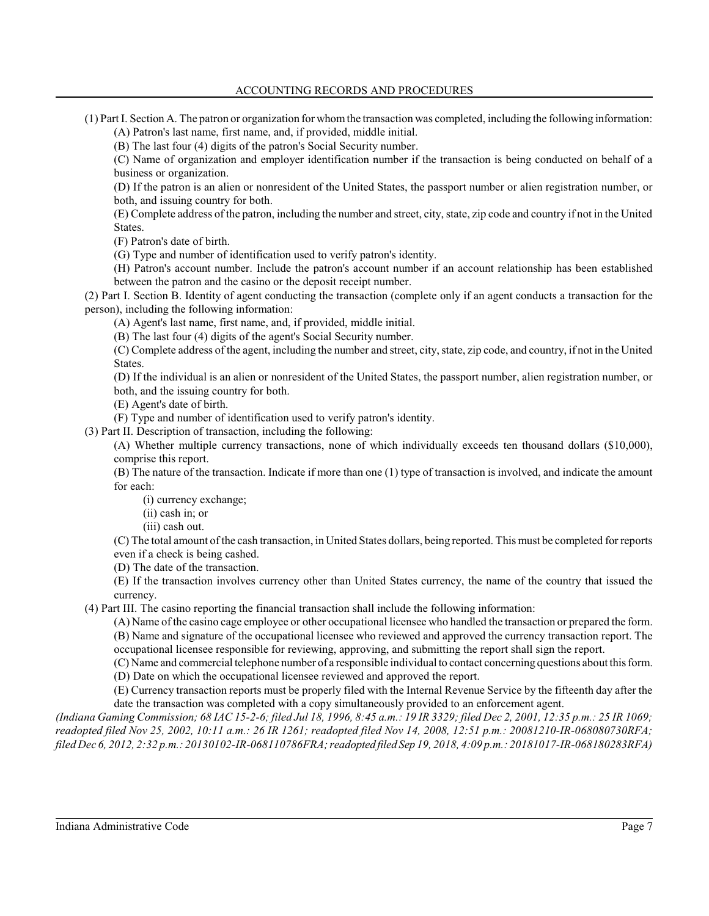(1) Part I. Section A. The patron or organization for whomthe transaction was completed, including the following information: (A) Patron's last name, first name, and, if provided, middle initial.

(B) The last four (4) digits of the patron's Social Security number.

(C) Name of organization and employer identification number if the transaction is being conducted on behalf of a business or organization.

(D) If the patron is an alien or nonresident of the United States, the passport number or alien registration number, or both, and issuing country for both.

(E) Complete address of the patron, including the number and street, city, state, zip code and country if not in the United States.

(F) Patron's date of birth.

(G) Type and number of identification used to verify patron's identity.

(H) Patron's account number. Include the patron's account number if an account relationship has been established between the patron and the casino or the deposit receipt number.

(2) Part I. Section B. Identity of agent conducting the transaction (complete only if an agent conducts a transaction for the person), including the following information:

(A) Agent's last name, first name, and, if provided, middle initial.

(B) The last four (4) digits of the agent's Social Security number.

(C) Complete address of the agent, including the number and street, city, state, zip code, and country, if not in the United States.

(D) If the individual is an alien or nonresident of the United States, the passport number, alien registration number, or both, and the issuing country for both.

(E) Agent's date of birth.

(F) Type and number of identification used to verify patron's identity.

(3) Part II. Description of transaction, including the following:

(A) Whether multiple currency transactions, none of which individually exceeds ten thousand dollars (\$10,000), comprise this report.

(B) The nature of the transaction. Indicate if more than one (1) type of transaction is involved, and indicate the amount for each:

(i) currency exchange;

(ii) cash in; or

(iii) cash out.

(C) The total amount of the cash transaction, in United States dollars, being reported. This must be completed for reports even if a check is being cashed.

(D) The date of the transaction.

(E) If the transaction involves currency other than United States currency, the name of the country that issued the currency.

(4) Part III. The casino reporting the financial transaction shall include the following information:

(A) Name of the casino cage employee or other occupational licensee who handled the transaction or prepared the form.

(B) Name and signature of the occupational licensee who reviewed and approved the currency transaction report. The

occupational licensee responsible for reviewing, approving, and submitting the report shall sign the report.

(C) Name and commercial telephone number of a responsible individual to contact concerning questions about thisform.

(D) Date on which the occupational licensee reviewed and approved the report.

(E) Currency transaction reports must be properly filed with the Internal Revenue Service by the fifteenth day after the date the transaction was completed with a copy simultaneously provided to an enforcement agent.

*(Indiana Gaming Commission; 68 IAC 15-2-6; filed Jul 18, 1996, 8:45 a.m.: 19 IR 3329; filed Dec 2, 2001, 12:35 p.m.: 25 IR 1069; readopted filed Nov 25, 2002, 10:11 a.m.: 26 IR 1261; readopted filed Nov 14, 2008, 12:51 p.m.: 20081210-IR-068080730RFA; filed Dec 6, 2012, 2:32 p.m.: 20130102-IR-068110786FRA; readopted filed Sep 19, 2018, 4:09 p.m.: 20181017-IR-068180283RFA)*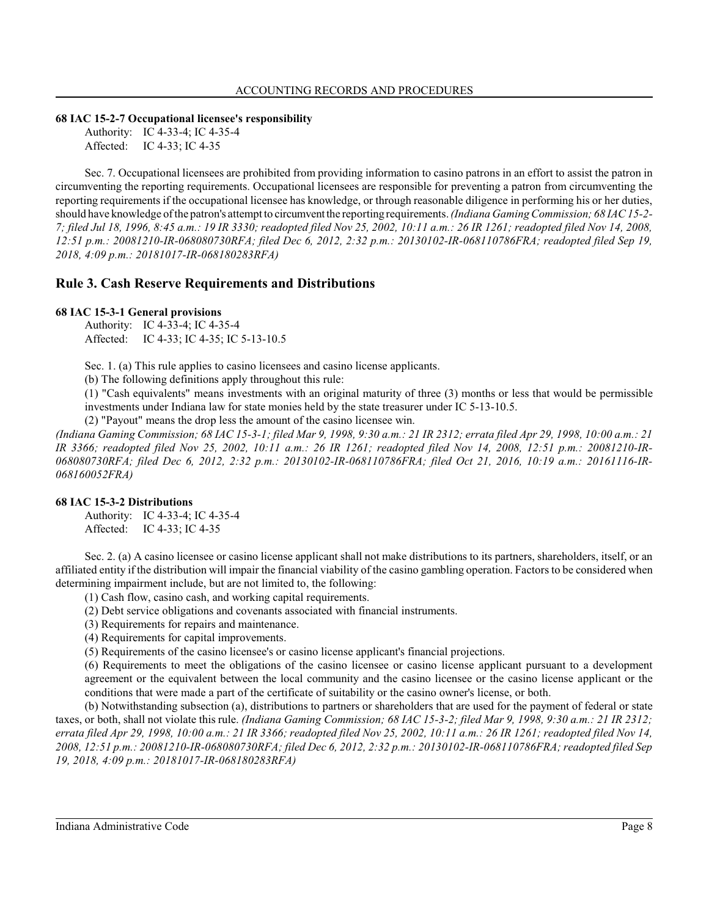### **68 IAC 15-2-7 Occupational licensee's responsibility**

Authority: IC 4-33-4; IC 4-35-4 Affected: IC 4-33; IC 4-35

Sec. 7. Occupational licensees are prohibited from providing information to casino patrons in an effort to assist the patron in circumventing the reporting requirements. Occupational licensees are responsible for preventing a patron from circumventing the reporting requirements if the occupational licensee has knowledge, or through reasonable diligence in performing his or her duties, should have knowledge of the patron's attempt to circumventthe reportingrequirements. *(Indiana Gaming Commission; 68 IAC 15-2- 7; filed Jul 18, 1996, 8:45 a.m.: 19 IR 3330; readopted filed Nov 25, 2002, 10:11 a.m.: 26 IR 1261; readopted filed Nov 14, 2008, 12:51 p.m.: 20081210-IR-068080730RFA; filed Dec 6, 2012, 2:32 p.m.: 20130102-IR-068110786FRA; readopted filed Sep 19, 2018, 4:09 p.m.: 20181017-IR-068180283RFA)*

# **Rule 3. Cash Reserve Requirements and Distributions**

# **68 IAC 15-3-1 General provisions**

Authority: IC 4-33-4; IC 4-35-4 Affected: IC 4-33; IC 4-35; IC 5-13-10.5

Sec. 1. (a) This rule applies to casino licensees and casino license applicants.

(b) The following definitions apply throughout this rule:

(1) "Cash equivalents" means investments with an original maturity of three (3) months or less that would be permissible investments under Indiana law for state monies held by the state treasurer under IC 5-13-10.5.

(2) "Payout" means the drop less the amount of the casino licensee win.

*(Indiana Gaming Commission; 68 IAC 15-3-1; filed Mar 9, 1998, 9:30 a.m.: 21 IR 2312; errata filed Apr 29, 1998, 10:00 a.m.: 21 IR 3366; readopted filed Nov 25, 2002, 10:11 a.m.: 26 IR 1261; readopted filed Nov 14, 2008, 12:51 p.m.: 20081210-IR-068080730RFA; filed Dec 6, 2012, 2:32 p.m.: 20130102-IR-068110786FRA; filed Oct 21, 2016, 10:19 a.m.: 20161116-IR-068160052FRA)*

### **68 IAC 15-3-2 Distributions**

Authority: IC 4-33-4; IC 4-35-4 Affected: IC 4-33; IC 4-35

Sec. 2. (a) A casino licensee or casino license applicant shall not make distributions to its partners, shareholders, itself, or an affiliated entity if the distribution will impair the financial viability of the casino gambling operation. Factors to be considered when determining impairment include, but are not limited to, the following:

(1) Cash flow, casino cash, and working capital requirements.

(2) Debt service obligations and covenants associated with financial instruments.

(3) Requirements for repairs and maintenance.

(4) Requirements for capital improvements.

(5) Requirements of the casino licensee's or casino license applicant's financial projections.

(6) Requirements to meet the obligations of the casino licensee or casino license applicant pursuant to a development agreement or the equivalent between the local community and the casino licensee or the casino license applicant or the conditions that were made a part of the certificate of suitability or the casino owner's license, or both.

(b) Notwithstanding subsection (a), distributions to partners or shareholders that are used for the payment of federal or state taxes, or both, shall not violate this rule. *(Indiana Gaming Commission; 68 IAC 15-3-2; filed Mar 9, 1998, 9:30 a.m.: 21 IR 2312; errata filed Apr 29, 1998, 10:00 a.m.: 21 IR 3366; readopted filed Nov 25, 2002, 10:11 a.m.: 26 IR 1261; readopted filed Nov 14, 2008, 12:51 p.m.: 20081210-IR-068080730RFA; filed Dec 6, 2012, 2:32 p.m.: 20130102-IR-068110786FRA; readopted filed Sep 19, 2018, 4:09 p.m.: 20181017-IR-068180283RFA)*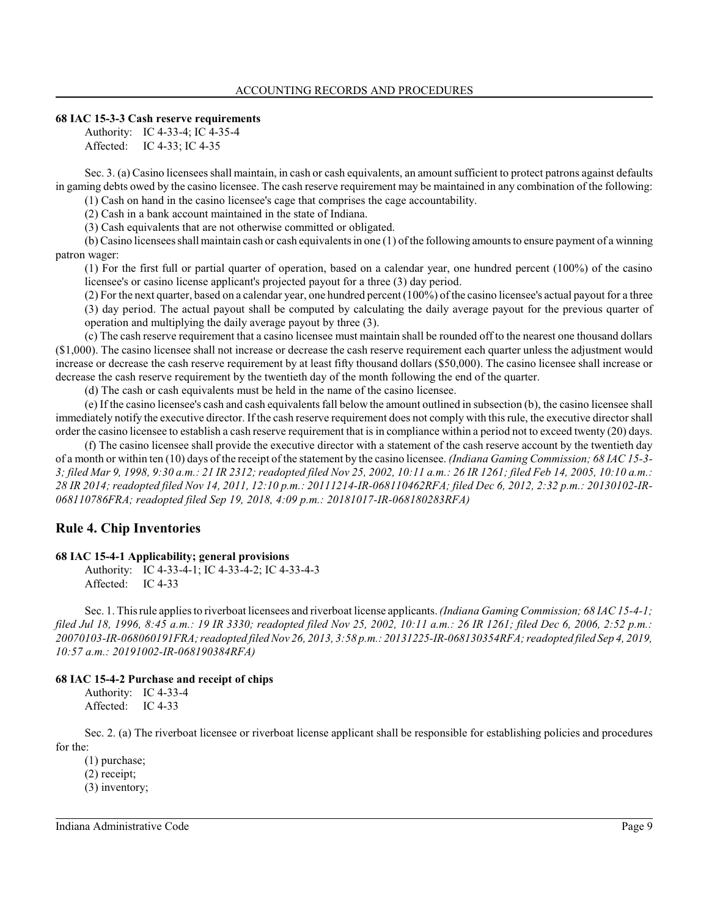#### **68 IAC 15-3-3 Cash reserve requirements**

Authority: IC 4-33-4; IC 4-35-4 Affected: IC 4-33; IC 4-35

Sec. 3. (a) Casino licensees shall maintain, in cash or cash equivalents, an amount sufficient to protect patrons against defaults in gaming debts owed by the casino licensee. The cash reserve requirement may be maintained in any combination of the following: (1) Cash on hand in the casino licensee's cage that comprises the cage accountability.

(2) Cash in a bank account maintained in the state of Indiana.

(3) Cash equivalents that are not otherwise committed or obligated.

(b) Casino licensees shall maintain cash or cash equivalentsin one (1) of the following amountsto ensure payment of a winning patron wager:

(1) For the first full or partial quarter of operation, based on a calendar year, one hundred percent (100%) of the casino licensee's or casino license applicant's projected payout for a three (3) day period.

(2) For the next quarter, based on a calendar year, one hundred percent (100%) of the casino licensee's actual payout for a three (3) day period. The actual payout shall be computed by calculating the daily average payout for the previous quarter of operation and multiplying the daily average payout by three (3).

(c) The cash reserve requirement that a casino licensee must maintain shall be rounded off to the nearest one thousand dollars (\$1,000). The casino licensee shall not increase or decrease the cash reserve requirement each quarter unless the adjustment would increase or decrease the cash reserve requirement by at least fifty thousand dollars (\$50,000). The casino licensee shall increase or decrease the cash reserve requirement by the twentieth day of the month following the end of the quarter.

(d) The cash or cash equivalents must be held in the name of the casino licensee.

(e) If the casino licensee's cash and cash equivalentsfall below the amount outlined in subsection (b), the casino licensee shall immediately notify the executive director. If the cash reserve requirement does not comply with thisrule, the executive directorshall order the casino licensee to establish a cash reserve requirement that is in compliance within a period not to exceed twenty (20) days.

(f) The casino licensee shall provide the executive director with a statement of the cash reserve account by the twentieth day of a month or within ten (10) days of the receipt of the statement by the casino licensee. *(Indiana Gaming Commission; 68 IAC 15-3- 3; filed Mar 9, 1998, 9:30 a.m.: 21 IR 2312; readopted filed Nov 25, 2002, 10:11 a.m.: 26 IR 1261; filed Feb 14, 2005, 10:10 a.m.: 28 IR 2014; readopted filed Nov 14, 2011, 12:10 p.m.: 20111214-IR-068110462RFA; filed Dec 6, 2012, 2:32 p.m.: 20130102-IR-068110786FRA; readopted filed Sep 19, 2018, 4:09 p.m.: 20181017-IR-068180283RFA)*

# **Rule 4. Chip Inventories**

### **68 IAC 15-4-1 Applicability; general provisions**

Authority: IC 4-33-4-1; IC 4-33-4-2; IC 4-33-4-3 Affected: IC 4-33

Sec. 1. Thisrule applies to riverboat licensees and riverboat license applicants. *(Indiana Gaming Commission; 68 IAC 15-4-1; filed Jul 18, 1996, 8:45 a.m.: 19 IR 3330; readopted filed Nov 25, 2002, 10:11 a.m.: 26 IR 1261; filed Dec 6, 2006, 2:52 p.m.: 20070103-IR-068060191FRA; readopted filed Nov 26, 2013, 3:58 p.m.: 20131225-IR-068130354RFA; readopted filed Sep 4, 2019, 10:57 a.m.: 20191002-IR-068190384RFA)*

### **68 IAC 15-4-2 Purchase and receipt of chips**

Authority: IC 4-33-4 Affected: IC 4-33

Sec. 2. (a) The riverboat licensee or riverboat license applicant shall be responsible for establishing policies and procedures for the:

(1) purchase; (2) receipt; (3) inventory;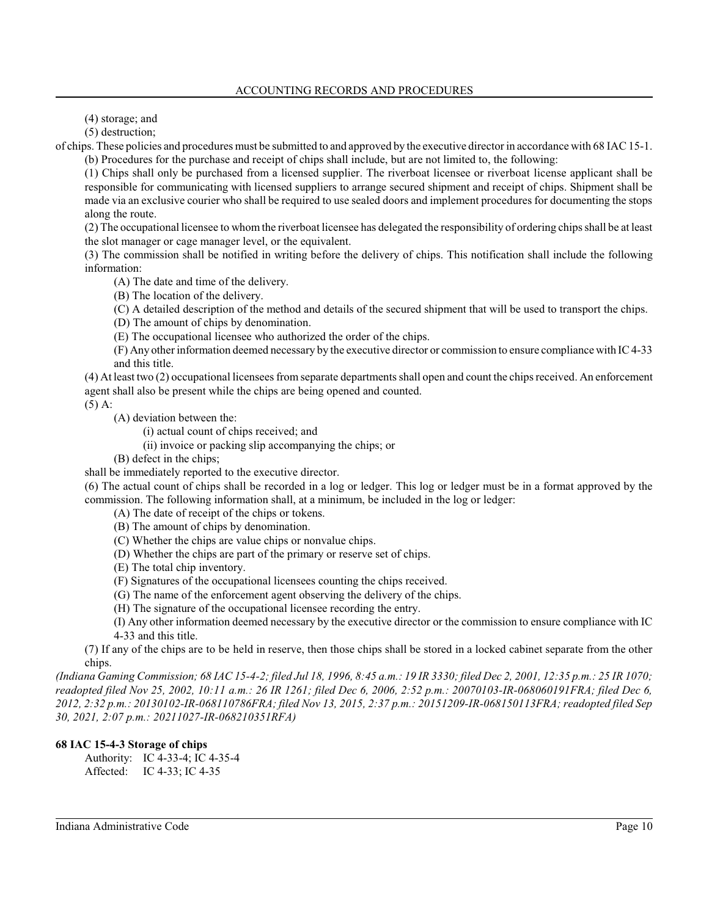(4) storage; and

(5) destruction;

of chips. These policies and procedures must be submitted to and approved by the executive directorin accordance with 68 IAC15-1. (b) Procedures for the purchase and receipt of chips shall include, but are not limited to, the following:

(1) Chips shall only be purchased from a licensed supplier. The riverboat licensee or riverboat license applicant shall be responsible for communicating with licensed suppliers to arrange secured shipment and receipt of chips. Shipment shall be made via an exclusive courier who shall be required to use sealed doors and implement procedures for documenting the stops along the route.

(2) The occupational licensee to whom the riverboat licensee has delegated the responsibility of ordering chips shall be at least the slot manager or cage manager level, or the equivalent.

(3) The commission shall be notified in writing before the delivery of chips. This notification shall include the following information:

(A) The date and time of the delivery.

(B) The location of the delivery.

(C) A detailed description of the method and details of the secured shipment that will be used to transport the chips.

(D) The amount of chips by denomination.

(E) The occupational licensee who authorized the order of the chips.

(F) Any other information deemed necessary by the executive director or commission to ensure compliance with IC 4-33 and this title.

(4) At least two (2) occupational licensees from separate departments shall open and count the chips received. An enforcement agent shall also be present while the chips are being opened and counted.

(5) A:

(A) deviation between the:

(i) actual count of chips received; and

(ii) invoice or packing slip accompanying the chips; or

(B) defect in the chips;

shall be immediately reported to the executive director.

(6) The actual count of chips shall be recorded in a log or ledger. This log or ledger must be in a format approved by the commission. The following information shall, at a minimum, be included in the log or ledger:

- (A) The date of receipt of the chips or tokens.
- (B) The amount of chips by denomination.
- (C) Whether the chips are value chips or nonvalue chips.
- (D) Whether the chips are part of the primary or reserve set of chips.
- (E) The total chip inventory.
- (F) Signatures of the occupational licensees counting the chips received.
- (G) The name of the enforcement agent observing the delivery of the chips.
- (H) The signature of the occupational licensee recording the entry.

(I) Any other information deemed necessary by the executive director or the commission to ensure compliance with IC 4-33 and this title.

(7) If any of the chips are to be held in reserve, then those chips shall be stored in a locked cabinet separate from the other chips.

*(Indiana Gaming Commission; 68 IAC 15-4-2; filed Jul 18, 1996, 8:45 a.m.: 19 IR 3330; filed Dec 2, 2001, 12:35 p.m.: 25 IR 1070; readopted filed Nov 25, 2002, 10:11 a.m.: 26 IR 1261; filed Dec 6, 2006, 2:52 p.m.: 20070103-IR-068060191FRA; filed Dec 6, 2012, 2:32 p.m.: 20130102-IR-068110786FRA; filed Nov 13, 2015, 2:37 p.m.: 20151209-IR-068150113FRA; readopted filed Sep 30, 2021, 2:07 p.m.: 20211027-IR-068210351RFA)*

# **68 IAC 15-4-3 Storage of chips**

Authority: IC 4-33-4; IC 4-35-4 Affected: IC 4-33; IC 4-35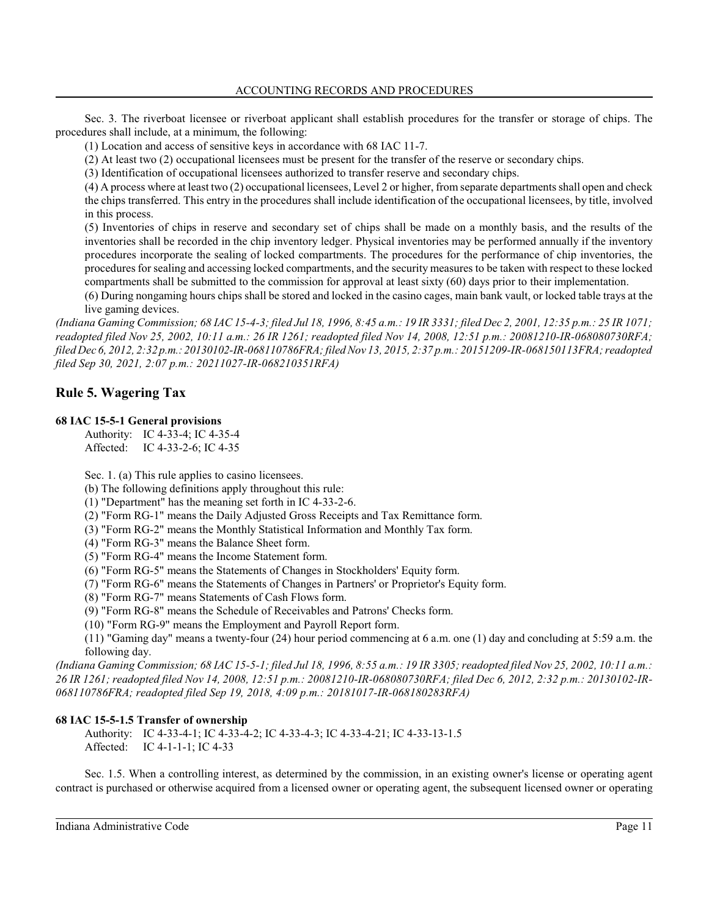Sec. 3. The riverboat licensee or riverboat applicant shall establish procedures for the transfer or storage of chips. The procedures shall include, at a minimum, the following:

(1) Location and access of sensitive keys in accordance with 68 IAC 11-7.

(2) At least two (2) occupational licensees must be present for the transfer of the reserve or secondary chips.

(3) Identification of occupational licensees authorized to transfer reserve and secondary chips.

(4) A process where at least two (2) occupational licensees, Level 2 or higher, from separate departments shall open and check the chips transferred. This entry in the procedures shall include identification of the occupational licensees, by title, involved in this process.

(5) Inventories of chips in reserve and secondary set of chips shall be made on a monthly basis, and the results of the inventories shall be recorded in the chip inventory ledger. Physical inventories may be performed annually if the inventory procedures incorporate the sealing of locked compartments. The procedures for the performance of chip inventories, the procedures for sealing and accessing locked compartments, and the security measures to be taken with respect to these locked compartments shall be submitted to the commission for approval at least sixty (60) days prior to their implementation.

(6) During nongaming hours chips shall be stored and locked in the casino cages, main bank vault, or locked table trays at the live gaming devices.

*(Indiana Gaming Commission; 68 IAC 15-4-3; filed Jul 18, 1996, 8:45 a.m.: 19 IR 3331; filed Dec 2, 2001, 12:35 p.m.: 25 IR 1071; readopted filed Nov 25, 2002, 10:11 a.m.: 26 IR 1261; readopted filed Nov 14, 2008, 12:51 p.m.: 20081210-IR-068080730RFA; filed Dec 6, 2012, 2:32 p.m.: 20130102-IR-068110786FRA;filed Nov 13, 2015, 2:37 p.m.: 20151209-IR-068150113FRA; readopted filed Sep 30, 2021, 2:07 p.m.: 20211027-IR-068210351RFA)*

# **Rule 5. Wagering Tax**

# **68 IAC 15-5-1 General provisions**

Authority: IC 4-33-4; IC 4-35-4 Affected: IC 4-33-2-6; IC 4-35

Sec. 1. (a) This rule applies to casino licensees.

(b) The following definitions apply throughout this rule:

(1) "Department" has the meaning set forth in IC 4-33-2-6.

(2) "Form RG-1" means the Daily Adjusted Gross Receipts and Tax Remittance form.

(3) "Form RG-2" means the Monthly Statistical Information and Monthly Tax form.

(4) "Form RG-3" means the Balance Sheet form.

(5) "Form RG-4" means the Income Statement form.

(6) "Form RG-5" means the Statements of Changes in Stockholders' Equity form.

(7) "Form RG-6" means the Statements of Changes in Partners' or Proprietor's Equity form.

(8) "Form RG-7" means Statements of Cash Flows form.

(9) "Form RG-8" means the Schedule of Receivables and Patrons' Checks form.

(10) "Form RG-9" means the Employment and Payroll Report form.

(11) "Gaming day" means a twenty-four (24) hour period commencing at 6 a.m. one (1) day and concluding at 5:59 a.m. the following day.

*(Indiana Gaming Commission; 68 IAC 15-5-1; filed Jul 18, 1996, 8:55 a.m.: 19 IR 3305; readopted filed Nov 25, 2002, 10:11 a.m.: 26 IR 1261; readopted filed Nov 14, 2008, 12:51 p.m.: 20081210-IR-068080730RFA; filed Dec 6, 2012, 2:32 p.m.: 20130102-IR-068110786FRA; readopted filed Sep 19, 2018, 4:09 p.m.: 20181017-IR-068180283RFA)*

# **68 IAC 15-5-1.5 Transfer of ownership**

Authority: IC 4-33-4-1; IC 4-33-4-2; IC 4-33-4-3; IC 4-33-4-21; IC 4-33-13-1.5 Affected: IC 4-1-1-1; IC 4-33

Sec. 1.5. When a controlling interest, as determined by the commission, in an existing owner's license or operating agent contract is purchased or otherwise acquired from a licensed owner or operating agent, the subsequent licensed owner or operating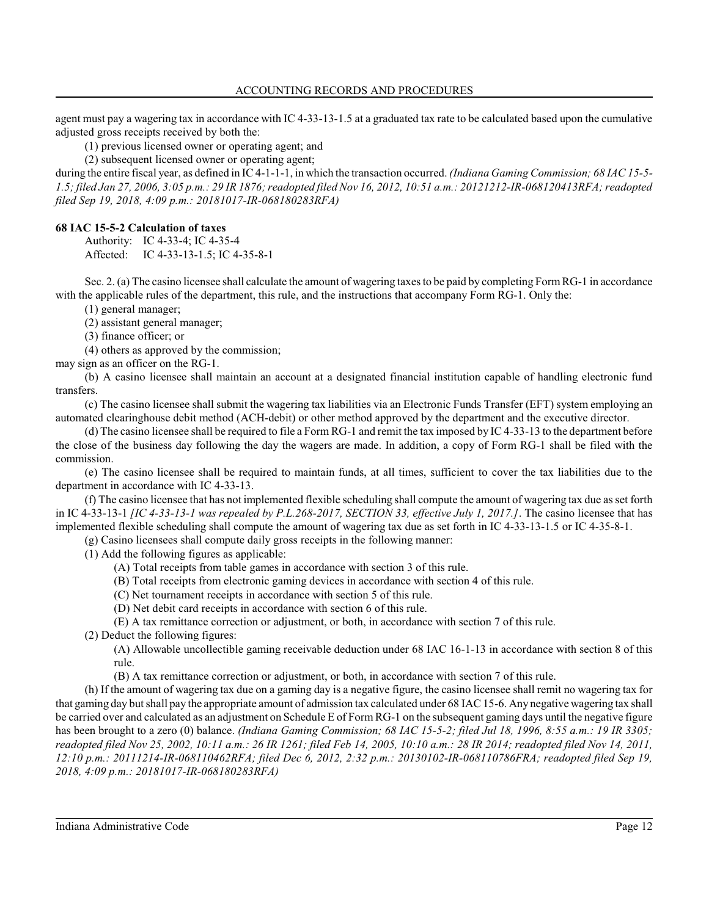agent must pay a wagering tax in accordance with IC 4-33-13-1.5 at a graduated tax rate to be calculated based upon the cumulative adjusted gross receipts received by both the:

(1) previous licensed owner or operating agent; and

(2) subsequent licensed owner or operating agent;

during the entire fiscal year, as defined in IC 4-1-1-1, in which the transaction occurred. *(Indiana Gaming Commission; 68 IAC 15-5- 1.5; filed Jan 27, 2006, 3:05 p.m.: 29 IR 1876; readopted filed Nov 16, 2012, 10:51 a.m.: 20121212-IR-068120413RFA; readopted filed Sep 19, 2018, 4:09 p.m.: 20181017-IR-068180283RFA)*

# **68 IAC 15-5-2 Calculation of taxes**

Authority: IC 4-33-4; IC 4-35-4 Affected: IC 4-33-13-1.5; IC 4-35-8-1

Sec. 2. (a) The casino licensee shall calculate the amount of wagering taxes to be paid by completing FormRG-1 in accordance with the applicable rules of the department, this rule, and the instructions that accompany Form RG-1. Only the:

(1) general manager;

(2) assistant general manager;

(3) finance officer; or

(4) others as approved by the commission;

may sign as an officer on the RG-1.

(b) A casino licensee shall maintain an account at a designated financial institution capable of handling electronic fund transfers.

(c) The casino licensee shall submit the wagering tax liabilities via an Electronic Funds Transfer (EFT) system employing an automated clearinghouse debit method (ACH-debit) or other method approved by the department and the executive director.

(d) The casino licensee shall be required to file a Form RG-1 and remit the tax imposed by IC 4-33-13 to the department before the close of the business day following the day the wagers are made. In addition, a copy of Form RG-1 shall be filed with the commission.

(e) The casino licensee shall be required to maintain funds, at all times, sufficient to cover the tax liabilities due to the department in accordance with IC 4-33-13.

(f) The casino licensee that has not implemented flexible scheduling shall compute the amount of wagering tax due as set forth in IC 4-33-13-1 *[IC 4-33-13-1 was repealed by P.L.268-2017, SECTION 33, effective July 1, 2017.]*. The casino licensee that has implemented flexible scheduling shall compute the amount of wagering tax due as set forth in IC 4-33-13-1.5 or IC 4-35-8-1.

(g) Casino licensees shall compute daily gross receipts in the following manner:

(1) Add the following figures as applicable:

- (A) Total receipts from table games in accordance with section 3 of this rule.
- (B) Total receipts from electronic gaming devices in accordance with section 4 of this rule.
- (C) Net tournament receipts in accordance with section 5 of this rule.
- (D) Net debit card receipts in accordance with section 6 of this rule.
- (E) A tax remittance correction or adjustment, or both, in accordance with section 7 of this rule.

(2) Deduct the following figures:

(A) Allowable uncollectible gaming receivable deduction under 68 IAC 16-1-13 in accordance with section 8 of this rule.

(B) A tax remittance correction or adjustment, or both, in accordance with section 7 of this rule.

(h) If the amount of wagering tax due on a gaming day is a negative figure, the casino licensee shall remit no wagering tax for that gaming day but shall pay the appropriate amount of admission tax calculated under 68 IAC15-6. Any negative wagering tax shall be carried over and calculated as an adjustment on Schedule E of Form RG-1 on the subsequent gaming days until the negative figure has been brought to a zero (0) balance. *(Indiana Gaming Commission; 68 IAC 15-5-2; filed Jul 18, 1996, 8:55 a.m.: 19 IR 3305; readopted filed Nov 25, 2002, 10:11 a.m.: 26 IR 1261; filed Feb 14, 2005, 10:10 a.m.: 28 IR 2014; readopted filed Nov 14, 2011, 12:10 p.m.: 20111214-IR-068110462RFA; filed Dec 6, 2012, 2:32 p.m.: 20130102-IR-068110786FRA; readopted filed Sep 19, 2018, 4:09 p.m.: 20181017-IR-068180283RFA)*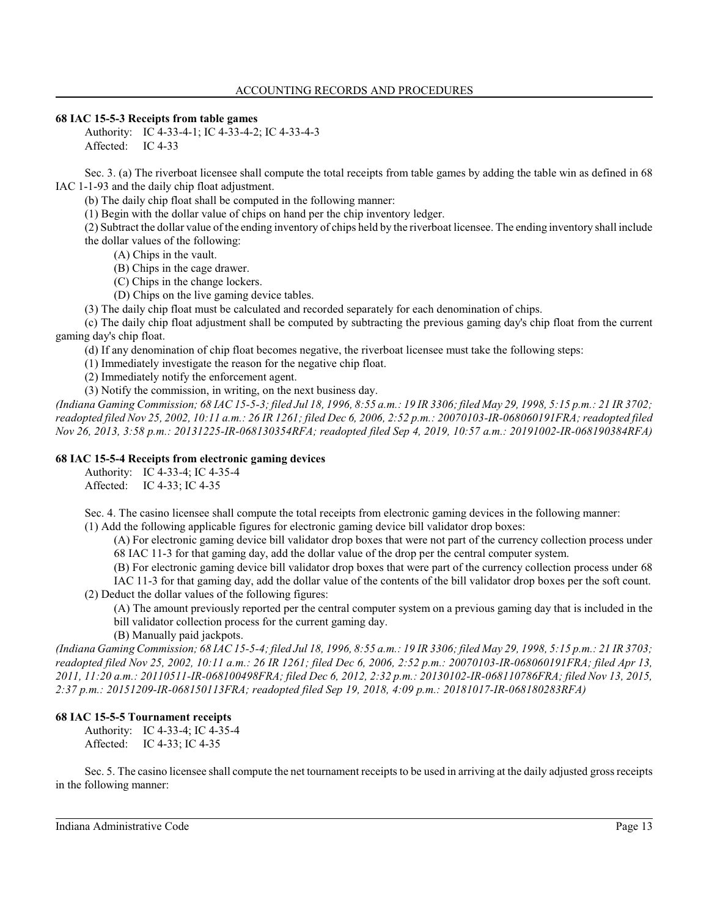### **68 IAC 15-5-3 Receipts from table games**

Authority: IC 4-33-4-1; IC 4-33-4-2; IC 4-33-4-3 Affected: IC 4-33

Sec. 3. (a) The riverboat licensee shall compute the total receipts from table games by adding the table win as defined in 68 IAC 1-1-93 and the daily chip float adjustment.

(b) The daily chip float shall be computed in the following manner:

(1) Begin with the dollar value of chips on hand per the chip inventory ledger.

(2) Subtract the dollar value of the ending inventory of chips held by the riverboat licensee. The ending inventory shall include the dollar values of the following:

(A) Chips in the vault.

- (B) Chips in the cage drawer.
- (C) Chips in the change lockers.

(D) Chips on the live gaming device tables.

(3) The daily chip float must be calculated and recorded separately for each denomination of chips.

(c) The daily chip float adjustment shall be computed by subtracting the previous gaming day's chip float from the current gaming day's chip float.

(d) If any denomination of chip float becomes negative, the riverboat licensee must take the following steps:

(1) Immediately investigate the reason for the negative chip float.

(2) Immediately notify the enforcement agent.

(3) Notify the commission, in writing, on the next business day.

*(Indiana Gaming Commission; 68 IAC 15-5-3; filed Jul 18, 1996, 8:55 a.m.: 19 IR 3306; filed May 29, 1998, 5:15 p.m.: 21 IR 3702; readopted filed Nov 25, 2002, 10:11 a.m.: 26 IR 1261; filed Dec 6, 2006, 2:52 p.m.: 20070103-IR-068060191FRA; readopted filed Nov 26, 2013, 3:58 p.m.: 20131225-IR-068130354RFA; readopted filed Sep 4, 2019, 10:57 a.m.: 20191002-IR-068190384RFA)*

# **68 IAC 15-5-4 Receipts from electronic gaming devices**

Authority: IC 4-33-4; IC 4-35-4 Affected: IC 4-33; IC 4-35

Sec. 4. The casino licensee shall compute the total receipts from electronic gaming devices in the following manner:

(1) Add the following applicable figures for electronic gaming device bill validator drop boxes:

(A) For electronic gaming device bill validator drop boxes that were not part of the currency collection process under 68 IAC 11-3 for that gaming day, add the dollar value of the drop per the central computer system.

(B) For electronic gaming device bill validator drop boxes that were part of the currency collection process under 68

IAC 11-3 for that gaming day, add the dollar value of the contents of the bill validator drop boxes per the soft count. (2) Deduct the dollar values of the following figures:

(A) The amount previously reported per the central computer system on a previous gaming day that is included in the bill validator collection process for the current gaming day.

(B) Manually paid jackpots.

*(Indiana Gaming Commission; 68 IAC 15-5-4; filed Jul 18, 1996, 8:55 a.m.: 19 IR 3306; filed May 29, 1998, 5:15 p.m.: 21 IR 3703; readopted filed Nov 25, 2002, 10:11 a.m.: 26 IR 1261; filed Dec 6, 2006, 2:52 p.m.: 20070103-IR-068060191FRA; filed Apr 13, 2011, 11:20 a.m.: 20110511-IR-068100498FRA; filed Dec 6, 2012, 2:32 p.m.: 20130102-IR-068110786FRA; filed Nov 13, 2015, 2:37 p.m.: 20151209-IR-068150113FRA; readopted filed Sep 19, 2018, 4:09 p.m.: 20181017-IR-068180283RFA)*

# **68 IAC 15-5-5 Tournament receipts**

Authority: IC 4-33-4; IC 4-35-4 Affected: IC 4-33; IC 4-35

Sec. 5. The casino licensee shall compute the net tournament receipts to be used in arriving at the daily adjusted gross receipts in the following manner: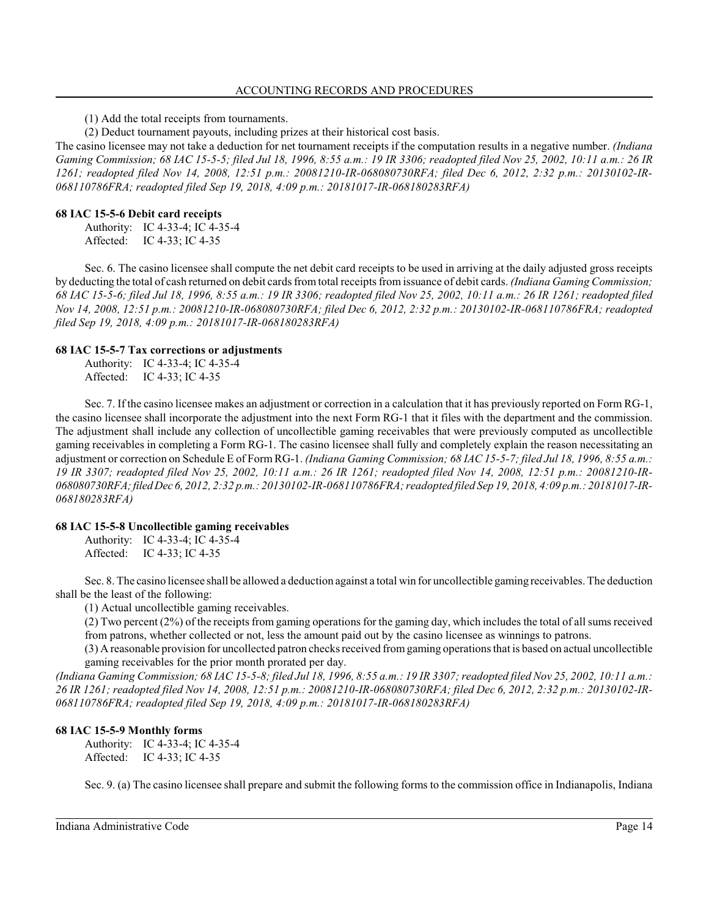(1) Add the total receipts from tournaments.

(2) Deduct tournament payouts, including prizes at their historical cost basis.

The casino licensee may not take a deduction for net tournament receipts if the computation results in a negative number. *(Indiana Gaming Commission; 68 IAC 15-5-5; filed Jul 18, 1996, 8:55 a.m.: 19 IR 3306; readopted filed Nov 25, 2002, 10:11 a.m.: 26 IR 1261; readopted filed Nov 14, 2008, 12:51 p.m.: 20081210-IR-068080730RFA; filed Dec 6, 2012, 2:32 p.m.: 20130102-IR-068110786FRA; readopted filed Sep 19, 2018, 4:09 p.m.: 20181017-IR-068180283RFA)*

### **68 IAC 15-5-6 Debit card receipts**

Authority: IC 4-33-4; IC 4-35-4 Affected: IC 4-33; IC 4-35

Sec. 6. The casino licensee shall compute the net debit card receipts to be used in arriving at the daily adjusted gross receipts by deducting the total of cash returned on debit cards fromtotal receipts from issuance of debit cards. *(Indiana Gaming Commission; 68 IAC 15-5-6; filed Jul 18, 1996, 8:55 a.m.: 19 IR 3306; readopted filed Nov 25, 2002, 10:11 a.m.: 26 IR 1261; readopted filed Nov 14, 2008, 12:51 p.m.: 20081210-IR-068080730RFA; filed Dec 6, 2012, 2:32 p.m.: 20130102-IR-068110786FRA; readopted filed Sep 19, 2018, 4:09 p.m.: 20181017-IR-068180283RFA)*

# **68 IAC 15-5-7 Tax corrections or adjustments**

Authority: IC 4-33-4; IC 4-35-4 Affected: IC 4-33; IC 4-35

Sec. 7. If the casino licensee makes an adjustment or correction in a calculation that it has previously reported on Form RG-1, the casino licensee shall incorporate the adjustment into the next Form RG-1 that it files with the department and the commission. The adjustment shall include any collection of uncollectible gaming receivables that were previously computed as uncollectible gaming receivables in completing a Form RG-1. The casino licensee shall fully and completely explain the reason necessitating an adjustment or correction on Schedule E of Form RG-1. *(Indiana Gaming Commission; 68 IAC 15-5-7; filed Jul 18, 1996, 8:55 a.m.: 19 IR 3307; readopted filed Nov 25, 2002, 10:11 a.m.: 26 IR 1261; readopted filed Nov 14, 2008, 12:51 p.m.: 20081210-IR-068080730RFA; filed Dec 6, 2012, 2:32 p.m.: 20130102-IR-068110786FRA; readopted filed Sep 19, 2018, 4:09 p.m.: 20181017-IR-068180283RFA)*

### **68 IAC 15-5-8 Uncollectible gaming receivables**

Authority: IC 4-33-4; IC 4-35-4 Affected: IC 4-33; IC 4-35

Sec. 8. The casino licensee shall be allowed a deduction against a total win for uncollectible gaming receivables. The deduction shall be the least of the following:

(1) Actual uncollectible gaming receivables.

(2) Two percent (2%) of the receipts from gaming operations for the gaming day, which includes the total of all sums received from patrons, whether collected or not, less the amount paid out by the casino licensee as winnings to patrons.

(3) A reasonable provision for uncollected patron checksreceived fromgaming operations that is based on actual uncollectible gaming receivables for the prior month prorated per day.

*(Indiana Gaming Commission; 68 IAC 15-5-8; filed Jul 18, 1996, 8:55 a.m.: 19 IR 3307; readopted filed Nov 25, 2002, 10:11 a.m.: 26 IR 1261; readopted filed Nov 14, 2008, 12:51 p.m.: 20081210-IR-068080730RFA; filed Dec 6, 2012, 2:32 p.m.: 20130102-IR-068110786FRA; readopted filed Sep 19, 2018, 4:09 p.m.: 20181017-IR-068180283RFA)*

# **68 IAC 15-5-9 Monthly forms**

Authority: IC 4-33-4; IC 4-35-4 Affected: IC 4-33; IC 4-35

Sec. 9. (a) The casino licensee shall prepare and submit the following forms to the commission office in Indianapolis, Indiana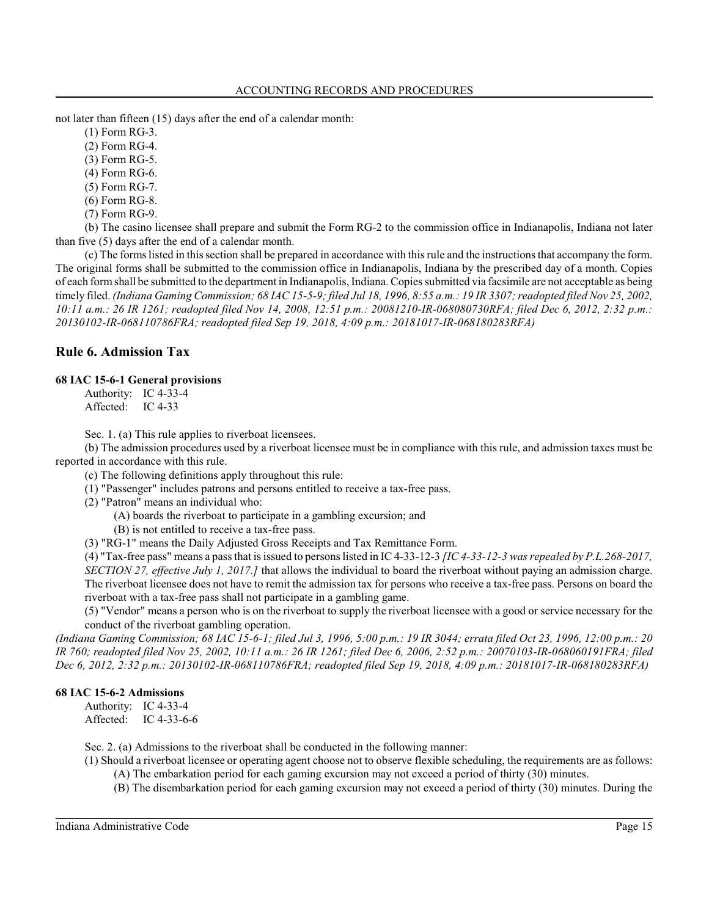not later than fifteen (15) days after the end of a calendar month:

(1) Form RG-3.

(2) Form RG-4.

(3) Form RG-5.

(4) Form RG-6.

(5) Form RG-7.

(6) Form RG-8.

(7) Form RG-9.

(b) The casino licensee shall prepare and submit the Form RG-2 to the commission office in Indianapolis, Indiana not later than five (5) days after the end of a calendar month.

(c) The forms listed in thissection shall be prepared in accordance with thisrule and the instructions that accompany the form. The original forms shall be submitted to the commission office in Indianapolis, Indiana by the prescribed day of a month. Copies of each formshall be submitted to the department in Indianapolis, Indiana. Copies submitted via facsimile are not acceptable as being timely filed. *(Indiana Gaming Commission; 68 IAC 15-5-9; filed Jul 18, 1996, 8:55 a.m.: 19 IR 3307; readopted filed Nov 25, 2002, 10:11 a.m.: 26 IR 1261; readopted filed Nov 14, 2008, 12:51 p.m.: 20081210-IR-068080730RFA; filed Dec 6, 2012, 2:32 p.m.: 20130102-IR-068110786FRA; readopted filed Sep 19, 2018, 4:09 p.m.: 20181017-IR-068180283RFA)*

# **Rule 6. Admission Tax**

### **68 IAC 15-6-1 General provisions**

Authority: IC 4-33-4 Affected: IC 4-33

Sec. 1. (a) This rule applies to riverboat licensees.

(b) The admission procedures used by a riverboat licensee must be in compliance with this rule, and admission taxes must be reported in accordance with this rule.

(c) The following definitions apply throughout this rule:

(1) "Passenger" includes patrons and persons entitled to receive a tax-free pass.

(2) "Patron" means an individual who:

(A) boards the riverboat to participate in a gambling excursion; and

(B) is not entitled to receive a tax-free pass.

(3) "RG-1" means the Daily Adjusted Gross Receipts and Tax Remittance Form.

(4) "Tax-free pass" means a pass that is issued to persons listed in IC 4-33-12-3 *[IC 4-33-12-3 was repealed by P.L.268-2017, SECTION 27, effective July 1, 2017.]* that allows the individual to board the riverboat without paying an admission charge. The riverboat licensee does not have to remit the admission tax for persons who receive a tax-free pass. Persons on board the riverboat with a tax-free pass shall not participate in a gambling game.

(5) "Vendor" means a person who is on the riverboat to supply the riverboat licensee with a good or service necessary for the conduct of the riverboat gambling operation.

*(Indiana Gaming Commission; 68 IAC 15-6-1; filed Jul 3, 1996, 5:00 p.m.: 19 IR 3044; errata filed Oct 23, 1996, 12:00 p.m.: 20 IR 760; readopted filed Nov 25, 2002, 10:11 a.m.: 26 IR 1261; filed Dec 6, 2006, 2:52 p.m.: 20070103-IR-068060191FRA; filed Dec 6, 2012, 2:32 p.m.: 20130102-IR-068110786FRA; readopted filed Sep 19, 2018, 4:09 p.m.: 20181017-IR-068180283RFA)*

# **68 IAC 15-6-2 Admissions**

Authority: IC 4-33-4 Affected: IC 4-33-6-6

Sec. 2. (a) Admissions to the riverboat shall be conducted in the following manner:

- (1) Should a riverboat licensee or operating agent choose not to observe flexible scheduling, the requirements are as follows: (A) The embarkation period for each gaming excursion may not exceed a period of thirty (30) minutes.
	- (B) The disembarkation period for each gaming excursion may not exceed a period of thirty (30) minutes. During the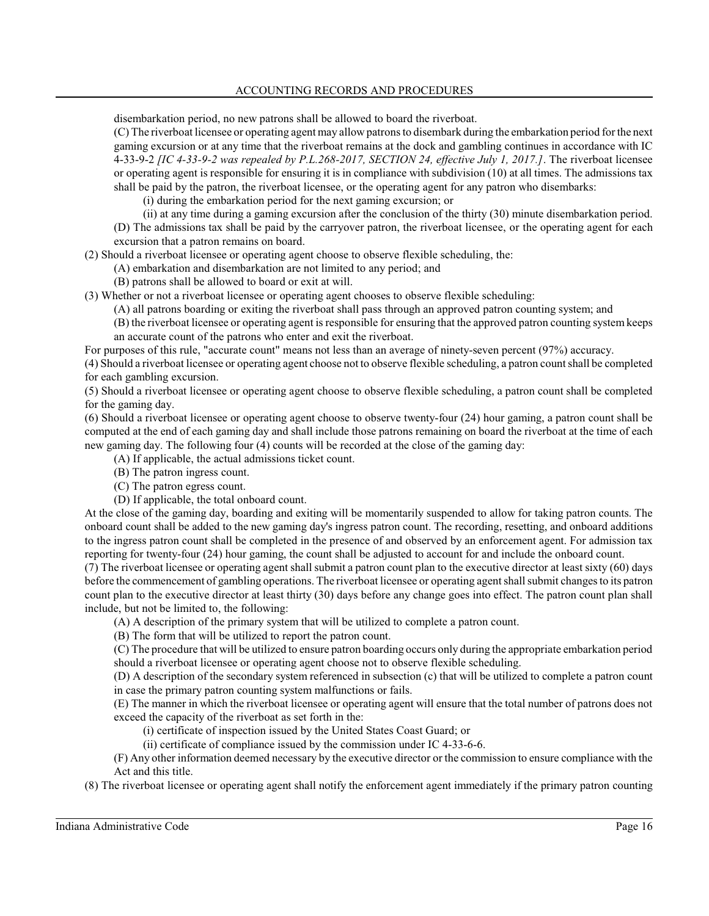disembarkation period, no new patrons shall be allowed to board the riverboat.

(C) The riverboat licensee or operating agent may allow patrons to disembark during the embarkation period for the next gaming excursion or at any time that the riverboat remains at the dock and gambling continues in accordance with IC 4-33-9-2 *[IC 4-33-9-2 was repealed by P.L.268-2017, SECTION 24, effective July 1, 2017.]*. The riverboat licensee or operating agent is responsible for ensuring it is in compliance with subdivision (10) at all times. The admissions tax shall be paid by the patron, the riverboat licensee, or the operating agent for any patron who disembarks:

(i) during the embarkation period for the next gaming excursion; or

(ii) at any time during a gaming excursion after the conclusion of the thirty (30) minute disembarkation period. (D) The admissions tax shall be paid by the carryover patron, the riverboat licensee, or the operating agent for each excursion that a patron remains on board.

(2) Should a riverboat licensee or operating agent choose to observe flexible scheduling, the:

(A) embarkation and disembarkation are not limited to any period; and

(B) patrons shall be allowed to board or exit at will.

(3) Whether or not a riverboat licensee or operating agent chooses to observe flexible scheduling:

(A) all patrons boarding or exiting the riverboat shall pass through an approved patron counting system; and

(B) the riverboat licensee or operating agent is responsible for ensuring that the approved patron counting system keeps an accurate count of the patrons who enter and exit the riverboat.

For purposes of this rule, "accurate count" means not less than an average of ninety-seven percent (97%) accuracy.

(4) Should a riverboat licensee or operating agent choose not to observe flexible scheduling, a patron count shall be completed for each gambling excursion.

(5) Should a riverboat licensee or operating agent choose to observe flexible scheduling, a patron count shall be completed for the gaming day.

(6) Should a riverboat licensee or operating agent choose to observe twenty-four (24) hour gaming, a patron count shall be computed at the end of each gaming day and shall include those patrons remaining on board the riverboat at the time of each new gaming day. The following four (4) counts will be recorded at the close of the gaming day:

- (A) If applicable, the actual admissions ticket count.
- (B) The patron ingress count.
- (C) The patron egress count.
- (D) If applicable, the total onboard count.

At the close of the gaming day, boarding and exiting will be momentarily suspended to allow for taking patron counts. The onboard count shall be added to the new gaming day's ingress patron count. The recording, resetting, and onboard additions to the ingress patron count shall be completed in the presence of and observed by an enforcement agent. For admission tax reporting for twenty-four (24) hour gaming, the count shall be adjusted to account for and include the onboard count.

(7) The riverboat licensee or operating agent shall submit a patron count plan to the executive director at least sixty (60) days before the commencement of gambling operations. The riverboat licensee or operating agent shall submit changes to its patron count plan to the executive director at least thirty (30) days before any change goes into effect. The patron count plan shall include, but not be limited to, the following:

(A) A description of the primary system that will be utilized to complete a patron count.

(B) The form that will be utilized to report the patron count.

(C) The procedure that will be utilized to ensure patron boarding occurs only during the appropriate embarkation period should a riverboat licensee or operating agent choose not to observe flexible scheduling.

(D) A description of the secondary system referenced in subsection (c) that will be utilized to complete a patron count in case the primary patron counting system malfunctions or fails.

(E) The manner in which the riverboat licensee or operating agent will ensure that the total number of patrons does not exceed the capacity of the riverboat as set forth in the:

(i) certificate of inspection issued by the United States Coast Guard; or

(ii) certificate of compliance issued by the commission under IC 4-33-6-6.

(F) Any other information deemed necessary by the executive director or the commission to ensure compliance with the Act and this title.

(8) The riverboat licensee or operating agent shall notify the enforcement agent immediately if the primary patron counting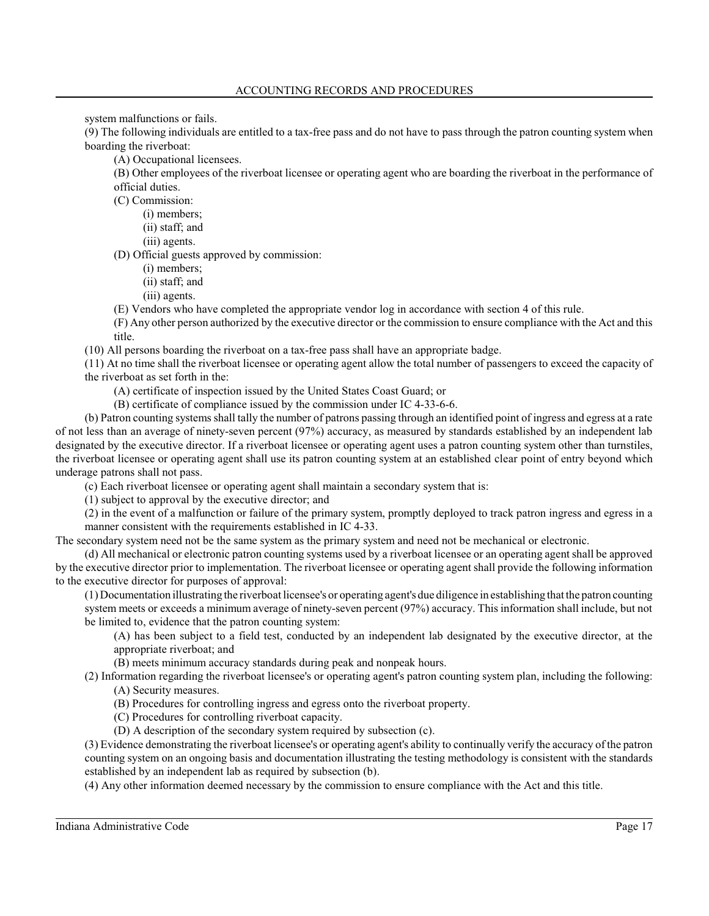system malfunctions or fails.

(9) The following individuals are entitled to a tax-free pass and do not have to pass through the patron counting system when boarding the riverboat:

(A) Occupational licensees.

(B) Other employees of the riverboat licensee or operating agent who are boarding the riverboat in the performance of official duties.

(C) Commission:

- (i) members;
- (ii) staff; and
- (iii) agents.

(D) Official guests approved by commission:

- (i) members;
- (ii) staff; and
- (iii) agents.

(E) Vendors who have completed the appropriate vendor log in accordance with section 4 of this rule.

(F) Any other person authorized by the executive director or the commission to ensure compliance with the Act and this title.

(10) All persons boarding the riverboat on a tax-free pass shall have an appropriate badge.

(11) At no time shall the riverboat licensee or operating agent allow the total number of passengers to exceed the capacity of the riverboat as set forth in the:

(A) certificate of inspection issued by the United States Coast Guard; or

(B) certificate of compliance issued by the commission under IC 4-33-6-6.

(b) Patron counting systems shall tally the number of patrons passing through an identified point of ingress and egress at a rate of not less than an average of ninety-seven percent (97%) accuracy, as measured by standards established by an independent lab designated by the executive director. If a riverboat licensee or operating agent uses a patron counting system other than turnstiles, the riverboat licensee or operating agent shall use its patron counting system at an established clear point of entry beyond which underage patrons shall not pass.

(c) Each riverboat licensee or operating agent shall maintain a secondary system that is:

(1) subject to approval by the executive director; and

(2) in the event of a malfunction or failure of the primary system, promptly deployed to track patron ingress and egress in a manner consistent with the requirements established in IC 4-33.

The secondary system need not be the same system as the primary system and need not be mechanical or electronic.

(d) All mechanical or electronic patron counting systems used by a riverboat licensee or an operating agent shall be approved by the executive director prior to implementation. The riverboat licensee or operating agent shall provide the following information to the executive director for purposes of approval:

(1) Documentation illustrating the riverboat licensee's or operating agent's due diligence in establishing that the patron counting system meets or exceeds a minimum average of ninety-seven percent (97%) accuracy. Thisinformation shall include, but not be limited to, evidence that the patron counting system:

(A) has been subject to a field test, conducted by an independent lab designated by the executive director, at the appropriate riverboat; and

(B) meets minimum accuracy standards during peak and nonpeak hours.

(2) Information regarding the riverboat licensee's or operating agent's patron counting system plan, including the following: (A) Security measures.

(B) Procedures for controlling ingress and egress onto the riverboat property.

(C) Procedures for controlling riverboat capacity.

(D) A description of the secondary system required by subsection (c).

(3) Evidence demonstrating the riverboat licensee's or operating agent's ability to continually verify the accuracy of the patron counting system on an ongoing basis and documentation illustrating the testing methodology is consistent with the standards established by an independent lab as required by subsection (b).

(4) Any other information deemed necessary by the commission to ensure compliance with the Act and this title.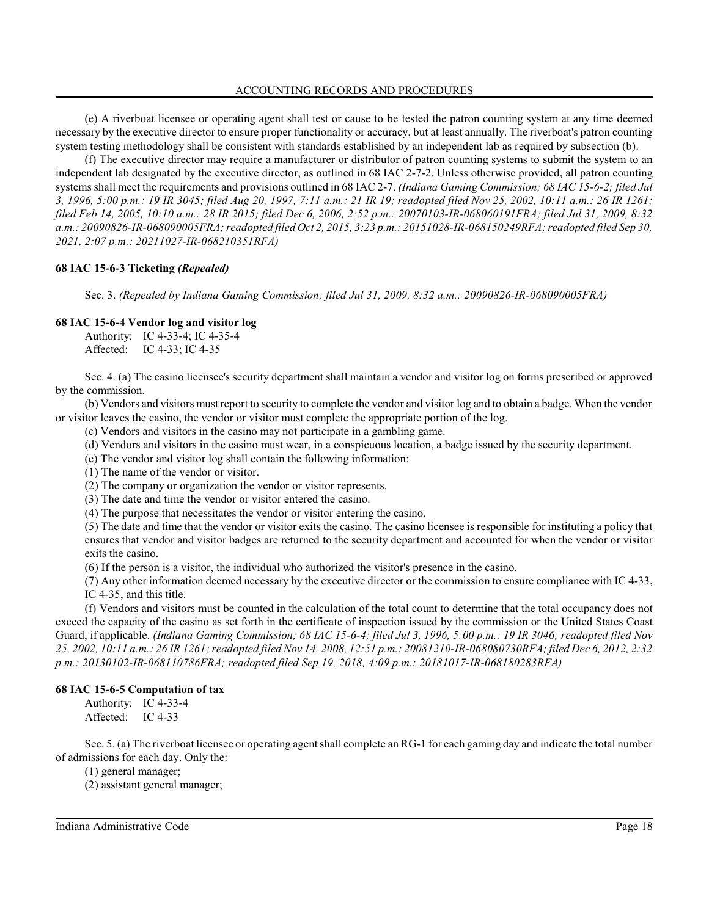### ACCOUNTING RECORDS AND PROCEDURES

(e) A riverboat licensee or operating agent shall test or cause to be tested the patron counting system at any time deemed necessary by the executive director to ensure proper functionality or accuracy, but at least annually. The riverboat's patron counting system testing methodology shall be consistent with standards established by an independent lab as required by subsection (b).

(f) The executive director may require a manufacturer or distributor of patron counting systems to submit the system to an independent lab designated by the executive director, as outlined in 68 IAC 2-7-2. Unless otherwise provided, all patron counting systems shall meet the requirements and provisions outlined in 68 IAC 2-7. *(Indiana Gaming Commission; 68 IAC 15-6-2; filed Jul 3, 1996, 5:00 p.m.: 19 IR 3045; filed Aug 20, 1997, 7:11 a.m.: 21 IR 19; readopted filed Nov 25, 2002, 10:11 a.m.: 26 IR 1261; filed Feb 14, 2005, 10:10 a.m.: 28 IR 2015; filed Dec 6, 2006, 2:52 p.m.: 20070103-IR-068060191FRA; filed Jul 31, 2009, 8:32 a.m.: 20090826-IR-068090005FRA; readopted filed Oct 2, 2015, 3:23 p.m.: 20151028-IR-068150249RFA; readopted filed Sep 30, 2021, 2:07 p.m.: 20211027-IR-068210351RFA)*

# **68 IAC 15-6-3 Ticketing** *(Repealed)*

Sec. 3. *(Repealed by Indiana Gaming Commission; filed Jul 31, 2009, 8:32 a.m.: 20090826-IR-068090005FRA)*

### **68 IAC 15-6-4 Vendor log and visitor log**

Authority: IC 4-33-4; IC 4-35-4 Affected: IC 4-33; IC 4-35

Sec. 4. (a) The casino licensee's security department shall maintain a vendor and visitor log on forms prescribed or approved by the commission.

(b) Vendors and visitors mustreport to security to complete the vendor and visitor log and to obtain a badge. When the vendor or visitor leaves the casino, the vendor or visitor must complete the appropriate portion of the log.

- (c) Vendors and visitors in the casino may not participate in a gambling game.
- (d) Vendors and visitors in the casino must wear, in a conspicuous location, a badge issued by the security department.
- (e) The vendor and visitor log shall contain the following information:
- (1) The name of the vendor or visitor.
- (2) The company or organization the vendor or visitor represents.
- (3) The date and time the vendor or visitor entered the casino.
- (4) The purpose that necessitates the vendor or visitor entering the casino.

(5) The date and time that the vendor or visitor exits the casino. The casino licensee is responsible for instituting a policy that ensures that vendor and visitor badges are returned to the security department and accounted for when the vendor or visitor exits the casino.

(6) If the person is a visitor, the individual who authorized the visitor's presence in the casino.

(7) Any other information deemed necessary by the executive director or the commission to ensure compliance with IC 4-33, IC 4-35, and this title.

(f) Vendors and visitors must be counted in the calculation of the total count to determine that the total occupancy does not exceed the capacity of the casino as set forth in the certificate of inspection issued by the commission or the United States Coast Guard, if applicable. *(Indiana Gaming Commission; 68 IAC 15-6-4; filed Jul 3, 1996, 5:00 p.m.: 19 IR 3046; readopted filed Nov 25, 2002, 10:11 a.m.: 26 IR 1261; readopted filed Nov 14, 2008, 12:51 p.m.: 20081210-IR-068080730RFA; filed Dec 6, 2012, 2:32 p.m.: 20130102-IR-068110786FRA; readopted filed Sep 19, 2018, 4:09 p.m.: 20181017-IR-068180283RFA)*

### **68 IAC 15-6-5 Computation of tax**

Authority: IC 4-33-4 Affected: IC 4-33

Sec. 5. (a) The riverboat licensee or operating agent shall complete an RG-1 for each gaming day and indicate the total number of admissions for each day. Only the:

(1) general manager;

(2) assistant general manager;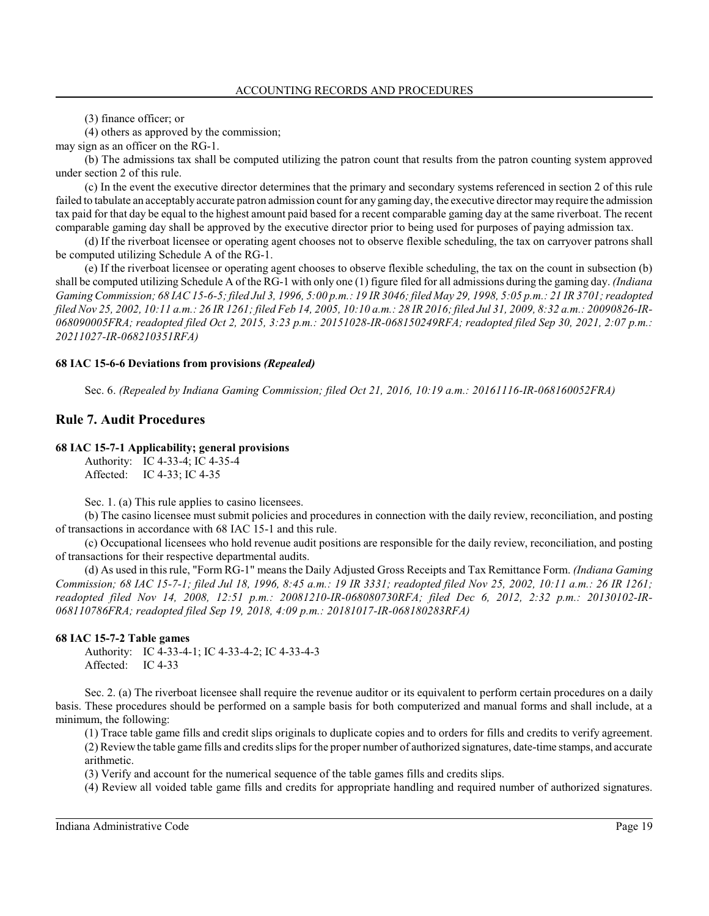(3) finance officer; or

(4) others as approved by the commission;

may sign as an officer on the RG-1.

(b) The admissions tax shall be computed utilizing the patron count that results from the patron counting system approved under section 2 of this rule.

(c) In the event the executive director determines that the primary and secondary systems referenced in section 2 of this rule failed to tabulate an acceptably accurate patron admission count for any gaming day, the executive director may require the admission tax paid for that day be equal to the highest amount paid based for a recent comparable gaming day at the same riverboat. The recent comparable gaming day shall be approved by the executive director prior to being used for purposes of paying admission tax.

(d) If the riverboat licensee or operating agent chooses not to observe flexible scheduling, the tax on carryover patrons shall be computed utilizing Schedule A of the RG-1.

(e) If the riverboat licensee or operating agent chooses to observe flexible scheduling, the tax on the count in subsection (b) shall be computed utilizing Schedule A of the RG-1 with only one (1) figure filed for all admissions during the gaming day. *(Indiana Gaming Commission; 68 IAC 15-6-5; filed Jul 3, 1996, 5:00 p.m.: 19 IR 3046; filed May 29, 1998, 5:05 p.m.: 21 IR 3701; readopted filed Nov 25, 2002, 10:11 a.m.: 26 IR 1261; filed Feb 14, 2005, 10:10 a.m.: 28 IR 2016; filed Jul 31, 2009, 8:32 a.m.: 20090826-IR-068090005FRA; readopted filed Oct 2, 2015, 3:23 p.m.: 20151028-IR-068150249RFA; readopted filed Sep 30, 2021, 2:07 p.m.: 20211027-IR-068210351RFA)*

### **68 IAC 15-6-6 Deviations from provisions** *(Repealed)*

Sec. 6. *(Repealed by Indiana Gaming Commission; filed Oct 21, 2016, 10:19 a.m.: 20161116-IR-068160052FRA)*

# **Rule 7. Audit Procedures**

### **68 IAC 15-7-1 Applicability; general provisions**

Authority: IC 4-33-4; IC 4-35-4 Affected: IC 4-33; IC 4-35

Sec. 1. (a) This rule applies to casino licensees.

(b) The casino licensee must submit policies and procedures in connection with the daily review, reconciliation, and posting of transactions in accordance with 68 IAC 15-1 and this rule.

(c) Occupational licensees who hold revenue audit positions are responsible for the daily review, reconciliation, and posting of transactions for their respective departmental audits.

(d) As used in thisrule, "Form RG-1" means the Daily Adjusted Gross Receipts and Tax Remittance Form. *(Indiana Gaming Commission; 68 IAC 15-7-1; filed Jul 18, 1996, 8:45 a.m.: 19 IR 3331; readopted filed Nov 25, 2002, 10:11 a.m.: 26 IR 1261; readopted filed Nov 14, 2008, 12:51 p.m.: 20081210-IR-068080730RFA; filed Dec 6, 2012, 2:32 p.m.: 20130102-IR-068110786FRA; readopted filed Sep 19, 2018, 4:09 p.m.: 20181017-IR-068180283RFA)*

### **68 IAC 15-7-2 Table games**

Authority: IC 4-33-4-1; IC 4-33-4-2; IC 4-33-4-3 Affected: IC 4-33

Sec. 2. (a) The riverboat licensee shall require the revenue auditor or its equivalent to perform certain procedures on a daily basis. These procedures should be performed on a sample basis for both computerized and manual forms and shall include, at a minimum, the following:

(1) Trace table game fills and credit slips originals to duplicate copies and to orders for fills and credits to verify agreement. (2) Reviewthe table game fills and credits slips for the proper number of authorized signatures, date-time stamps, and accurate arithmetic.

(3) Verify and account for the numerical sequence of the table games fills and credits slips.

(4) Review all voided table game fills and credits for appropriate handling and required number of authorized signatures.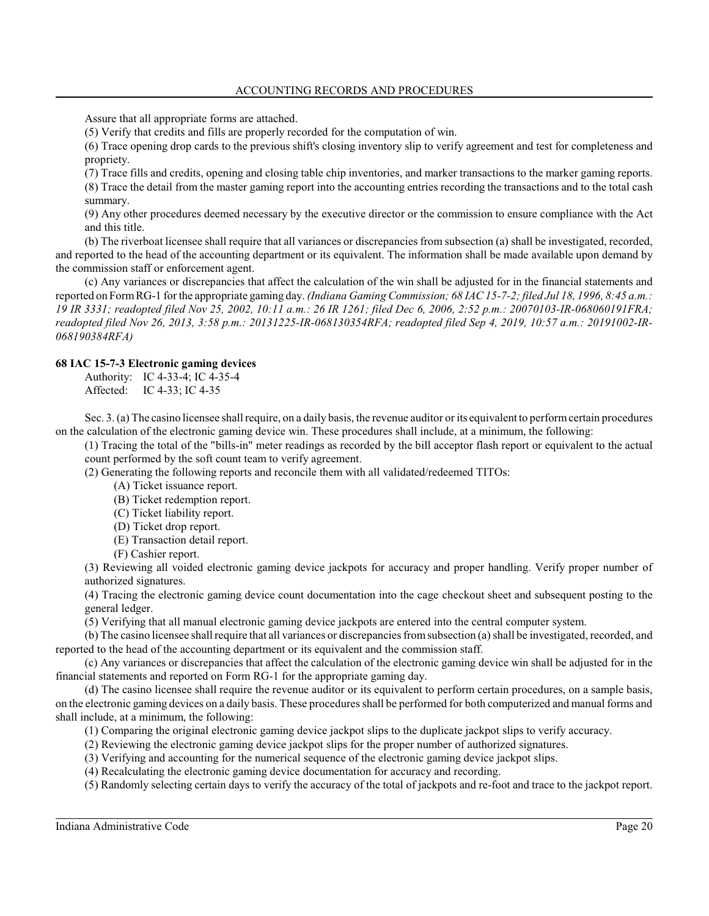Assure that all appropriate forms are attached.

(5) Verify that credits and fills are properly recorded for the computation of win.

(6) Trace opening drop cards to the previous shift's closing inventory slip to verify agreement and test for completeness and propriety.

(7) Trace fills and credits, opening and closing table chip inventories, and marker transactions to the marker gaming reports. (8) Trace the detail from the master gaming report into the accounting entries recording the transactions and to the total cash summary.

(9) Any other procedures deemed necessary by the executive director or the commission to ensure compliance with the Act and this title.

(b) The riverboat licensee shall require that all variances or discrepancies from subsection (a) shall be investigated, recorded, and reported to the head of the accounting department or its equivalent. The information shall be made available upon demand by the commission staff or enforcement agent.

(c) Any variances or discrepancies that affect the calculation of the win shall be adjusted for in the financial statements and reported on FormRG-1 for the appropriate gaming day. *(Indiana Gaming Commission; 68 IAC 15-7-2; filed Jul 18, 1996, 8:45 a.m.: 19 IR 3331; readopted filed Nov 25, 2002, 10:11 a.m.: 26 IR 1261; filed Dec 6, 2006, 2:52 p.m.: 20070103-IR-068060191FRA; readopted filed Nov 26, 2013, 3:58 p.m.: 20131225-IR-068130354RFA; readopted filed Sep 4, 2019, 10:57 a.m.: 20191002-IR-068190384RFA)*

### **68 IAC 15-7-3 Electronic gaming devices**

Authority: IC 4-33-4; IC 4-35-4 Affected: IC 4-33; IC 4-35

Sec. 3. (a) The casino licensee shall require, on a daily basis, the revenue auditor or its equivalent to perform certain procedures on the calculation of the electronic gaming device win. These procedures shall include, at a minimum, the following:

(1) Tracing the total of the "bills-in" meter readings as recorded by the bill acceptor flash report or equivalent to the actual count performed by the soft count team to verify agreement.

(2) Generating the following reports and reconcile them with all validated/redeemed TITOs:

(A) Ticket issuance report.

(B) Ticket redemption report.

(C) Ticket liability report.

- (D) Ticket drop report.
- (E) Transaction detail report.
- (F) Cashier report.

(3) Reviewing all voided electronic gaming device jackpots for accuracy and proper handling. Verify proper number of authorized signatures.

(4) Tracing the electronic gaming device count documentation into the cage checkout sheet and subsequent posting to the general ledger.

(5) Verifying that all manual electronic gaming device jackpots are entered into the central computer system.

(b) The casino licensee shall require that all variances or discrepancies fromsubsection (a)shall be investigated, recorded, and reported to the head of the accounting department or its equivalent and the commission staff.

(c) Any variances or discrepancies that affect the calculation of the electronic gaming device win shall be adjusted for in the financial statements and reported on Form RG-1 for the appropriate gaming day.

(d) The casino licensee shall require the revenue auditor or its equivalent to perform certain procedures, on a sample basis, on the electronic gaming devices on a daily basis. These procedures shall be performed for both computerized and manual forms and shall include, at a minimum, the following:

(1) Comparing the original electronic gaming device jackpot slips to the duplicate jackpot slips to verify accuracy.

- (2) Reviewing the electronic gaming device jackpot slips for the proper number of authorized signatures.
- (3) Verifying and accounting for the numerical sequence of the electronic gaming device jackpot slips.
- (4) Recalculating the electronic gaming device documentation for accuracy and recording.

(5) Randomly selecting certain days to verify the accuracy of the total of jackpots and re-foot and trace to the jackpot report.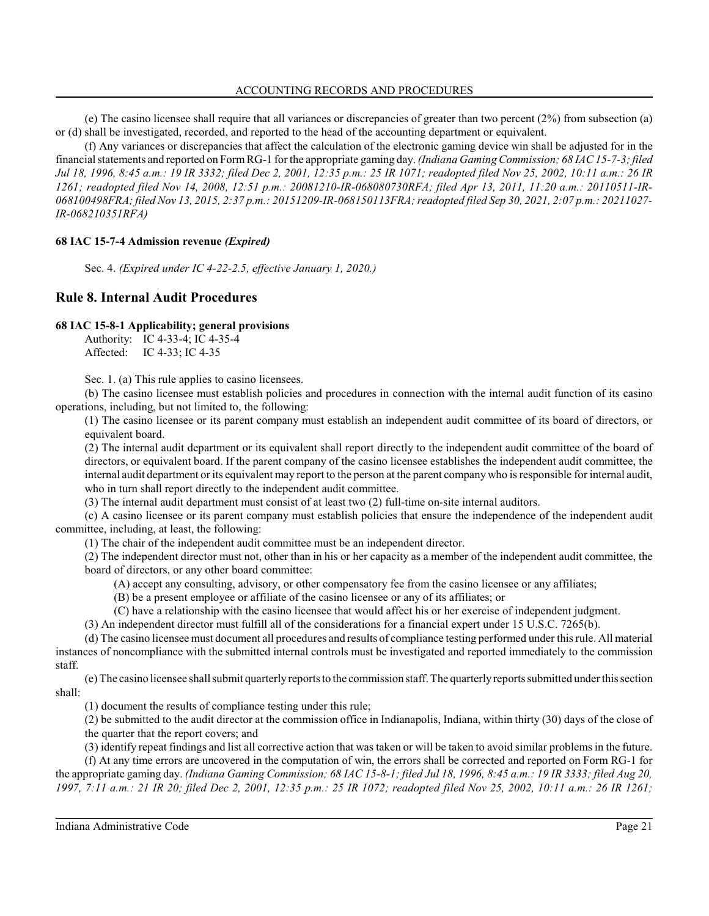(e) The casino licensee shall require that all variances or discrepancies of greater than two percent (2%) from subsection (a) or (d) shall be investigated, recorded, and reported to the head of the accounting department or equivalent.

(f) Any variances or discrepancies that affect the calculation of the electronic gaming device win shall be adjusted for in the financial statements and reported on FormRG-1 for the appropriate gaming day. *(Indiana Gaming Commission; 68 IAC 15-7-3; filed Jul 18, 1996, 8:45 a.m.: 19 IR 3332; filed Dec 2, 2001, 12:35 p.m.: 25 IR 1071; readopted filed Nov 25, 2002, 10:11 a.m.: 26 IR 1261; readopted filed Nov 14, 2008, 12:51 p.m.: 20081210-IR-068080730RFA; filed Apr 13, 2011, 11:20 a.m.: 20110511-IR-068100498FRA; filed Nov 13, 2015, 2:37 p.m.: 20151209-IR-068150113FRA; readopted filed Sep 30, 2021, 2:07 p.m.: 20211027- IR-068210351RFA)*

# **68 IAC 15-7-4 Admission revenue** *(Expired)*

Sec. 4. *(Expired under IC 4-22-2.5, effective January 1, 2020.)*

# **Rule 8. Internal Audit Procedures**

### **68 IAC 15-8-1 Applicability; general provisions**

Authority: IC 4-33-4; IC 4-35-4 Affected: IC 4-33; IC 4-35

Sec. 1. (a) This rule applies to casino licensees.

(b) The casino licensee must establish policies and procedures in connection with the internal audit function of its casino operations, including, but not limited to, the following:

(1) The casino licensee or its parent company must establish an independent audit committee of its board of directors, or equivalent board.

(2) The internal audit department or its equivalent shall report directly to the independent audit committee of the board of directors, or equivalent board. If the parent company of the casino licensee establishes the independent audit committee, the internal audit department or its equivalent may report to the person at the parent company who is responsible for internal audit, who in turn shall report directly to the independent audit committee.

(3) The internal audit department must consist of at least two (2) full-time on-site internal auditors.

(c) A casino licensee or its parent company must establish policies that ensure the independence of the independent audit committee, including, at least, the following:

(1) The chair of the independent audit committee must be an independent director.

(2) The independent director must not, other than in his or her capacity as a member of the independent audit committee, the board of directors, or any other board committee:

(A) accept any consulting, advisory, or other compensatory fee from the casino licensee or any affiliates;

(B) be a present employee or affiliate of the casino licensee or any of its affiliates; or

(C) have a relationship with the casino licensee that would affect his or her exercise of independent judgment.

(3) An independent director must fulfill all of the considerations for a financial expert under 15 U.S.C. 7265(b).

(d) The casino licensee must document all procedures and results of compliance testing performed under thisrule. All material instances of noncompliance with the submitted internal controls must be investigated and reported immediately to the commission staff.

(e) The casino licensee shall submit quarterly reports to the commission staff. The quarterly reports submitted underthissection shall:

(1) document the results of compliance testing under this rule;

(2) be submitted to the audit director at the commission office in Indianapolis, Indiana, within thirty (30) days of the close of the quarter that the report covers; and

(3) identify repeat findings and list all corrective action that was taken or will be taken to avoid similar problems in the future.

(f) At any time errors are uncovered in the computation of win, the errors shall be corrected and reported on Form RG-1 for the appropriate gaming day. *(Indiana Gaming Commission; 68 IAC 15-8-1; filed Jul 18, 1996, 8:45 a.m.: 19 IR 3333; filed Aug 20, 1997, 7:11 a.m.: 21 IR 20; filed Dec 2, 2001, 12:35 p.m.: 25 IR 1072; readopted filed Nov 25, 2002, 10:11 a.m.: 26 IR 1261;*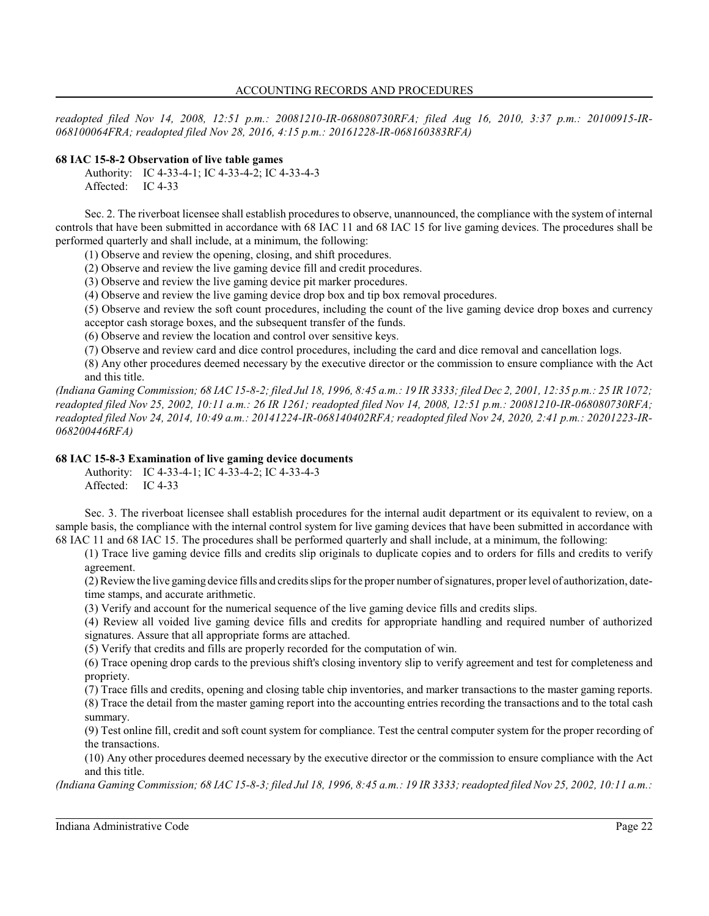*readopted filed Nov 14, 2008, 12:51 p.m.: 20081210-IR-068080730RFA; filed Aug 16, 2010, 3:37 p.m.: 20100915-IR-068100064FRA; readopted filed Nov 28, 2016, 4:15 p.m.: 20161228-IR-068160383RFA)*

# **68 IAC 15-8-2 Observation of live table games**

Authority: IC 4-33-4-1; IC 4-33-4-2; IC 4-33-4-3 Affected: IC 4-33

Sec. 2. The riverboat licensee shall establish procedures to observe, unannounced, the compliance with the system of internal controls that have been submitted in accordance with 68 IAC 11 and 68 IAC 15 for live gaming devices. The procedures shall be performed quarterly and shall include, at a minimum, the following:

(1) Observe and review the opening, closing, and shift procedures.

(2) Observe and review the live gaming device fill and credit procedures.

(3) Observe and review the live gaming device pit marker procedures.

(4) Observe and review the live gaming device drop box and tip box removal procedures.

(5) Observe and review the soft count procedures, including the count of the live gaming device drop boxes and currency

acceptor cash storage boxes, and the subsequent transfer of the funds.

(6) Observe and review the location and control over sensitive keys.

(7) Observe and review card and dice control procedures, including the card and dice removal and cancellation logs.

(8) Any other procedures deemed necessary by the executive director or the commission to ensure compliance with the Act and this title.

*(Indiana Gaming Commission; 68 IAC 15-8-2; filed Jul 18, 1996, 8:45 a.m.: 19 IR 3333; filed Dec 2, 2001, 12:35 p.m.: 25 IR 1072; readopted filed Nov 25, 2002, 10:11 a.m.: 26 IR 1261; readopted filed Nov 14, 2008, 12:51 p.m.: 20081210-IR-068080730RFA; readopted filed Nov 24, 2014, 10:49 a.m.: 20141224-IR-068140402RFA; readopted filed Nov 24, 2020, 2:41 p.m.: 20201223-IR-068200446RFA)*

# **68 IAC 15-8-3 Examination of live gaming device documents**

Authority: IC 4-33-4-1; IC 4-33-4-2; IC 4-33-4-3 Affected: IC 4-33

Sec. 3. The riverboat licensee shall establish procedures for the internal audit department or its equivalent to review, on a sample basis, the compliance with the internal control system for live gaming devices that have been submitted in accordance with 68 IAC 11 and 68 IAC 15. The procedures shall be performed quarterly and shall include, at a minimum, the following:

(1) Trace live gaming device fills and credits slip originals to duplicate copies and to orders for fills and credits to verify agreement.

(2) Reviewthe live gaming device fills and credits slips for the proper number of signatures, proper level of authorization, datetime stamps, and accurate arithmetic.

(3) Verify and account for the numerical sequence of the live gaming device fills and credits slips.

(4) Review all voided live gaming device fills and credits for appropriate handling and required number of authorized signatures. Assure that all appropriate forms are attached.

(5) Verify that credits and fills are properly recorded for the computation of win.

(6) Trace opening drop cards to the previous shift's closing inventory slip to verify agreement and test for completeness and propriety.

(7) Trace fills and credits, opening and closing table chip inventories, and marker transactions to the master gaming reports.

(8) Trace the detail from the master gaming report into the accounting entries recording the transactions and to the total cash summary.

(9) Test online fill, credit and soft count system for compliance. Test the central computer system for the proper recording of the transactions.

(10) Any other procedures deemed necessary by the executive director or the commission to ensure compliance with the Act and this title.

*(Indiana Gaming Commission; 68 IAC 15-8-3; filed Jul 18, 1996, 8:45 a.m.: 19 IR 3333; readopted filed Nov 25, 2002, 10:11 a.m.:*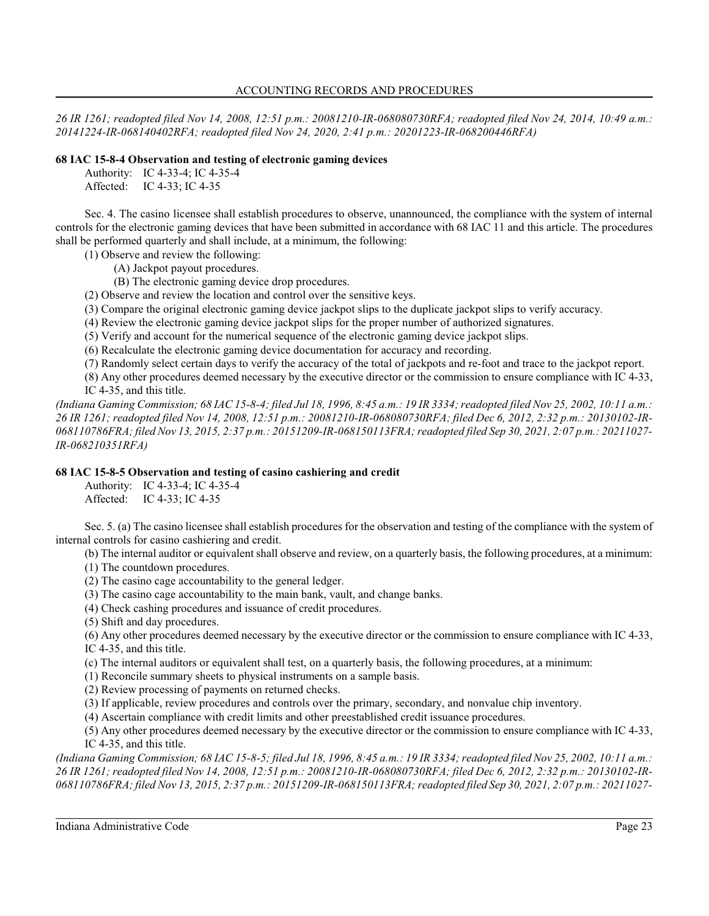### ACCOUNTING RECORDS AND PROCEDURES

*26 IR 1261; readopted filed Nov 14, 2008, 12:51 p.m.: 20081210-IR-068080730RFA; readopted filed Nov 24, 2014, 10:49 a.m.: 20141224-IR-068140402RFA; readopted filed Nov 24, 2020, 2:41 p.m.: 20201223-IR-068200446RFA)*

# **68 IAC 15-8-4 Observation and testing of electronic gaming devices**

Authority: IC 4-33-4; IC 4-35-4

Affected: IC 4-33; IC 4-35

Sec. 4. The casino licensee shall establish procedures to observe, unannounced, the compliance with the system of internal controls for the electronic gaming devices that have been submitted in accordance with 68 IAC 11 and this article. The procedures shall be performed quarterly and shall include, at a minimum, the following:

(1) Observe and review the following:

- (A) Jackpot payout procedures.
- (B) The electronic gaming device drop procedures.
- (2) Observe and review the location and control over the sensitive keys.
- (3) Compare the original electronic gaming device jackpot slips to the duplicate jackpot slips to verify accuracy.
- (4) Review the electronic gaming device jackpot slips for the proper number of authorized signatures.
- (5) Verify and account for the numerical sequence of the electronic gaming device jackpot slips.
- (6) Recalculate the electronic gaming device documentation for accuracy and recording.
- (7) Randomly select certain days to verify the accuracy of the total of jackpots and re-foot and trace to the jackpot report.
- (8) Any other procedures deemed necessary by the executive director or the commission to ensure compliance with IC 4-33, IC 4-35, and this title.

*(Indiana Gaming Commission; 68 IAC 15-8-4; filed Jul 18, 1996, 8:45 a.m.: 19 IR 3334; readopted filed Nov 25, 2002, 10:11 a.m.: 26 IR 1261; readopted filed Nov 14, 2008, 12:51 p.m.: 20081210-IR-068080730RFA; filed Dec 6, 2012, 2:32 p.m.: 20130102-IR-068110786FRA; filed Nov 13, 2015, 2:37 p.m.: 20151209-IR-068150113FRA; readopted filed Sep 30, 2021, 2:07 p.m.: 20211027- IR-068210351RFA)*

# **68 IAC 15-8-5 Observation and testing of casino cashiering and credit**

Authority: IC 4-33-4; IC 4-35-4 Affected: IC 4-33; IC 4-35

Sec. 5. (a) The casino licensee shall establish procedures for the observation and testing of the compliance with the system of internal controls for casino cashiering and credit.

- (b) The internal auditor or equivalent shall observe and review, on a quarterly basis, the following procedures, at a minimum:
- (1) The countdown procedures.
- (2) The casino cage accountability to the general ledger.
- (3) The casino cage accountability to the main bank, vault, and change banks.
- (4) Check cashing procedures and issuance of credit procedures.
- (5) Shift and day procedures.
- (6) Any other procedures deemed necessary by the executive director or the commission to ensure compliance with IC 4-33, IC 4-35, and this title.
- (c) The internal auditors or equivalent shall test, on a quarterly basis, the following procedures, at a minimum:
- (1) Reconcile summary sheets to physical instruments on a sample basis.
- (2) Review processing of payments on returned checks.
- (3) If applicable, review procedures and controls over the primary, secondary, and nonvalue chip inventory.
- (4) Ascertain compliance with credit limits and other preestablished credit issuance procedures.

(5) Any other procedures deemed necessary by the executive director or the commission to ensure compliance with IC 4-33, IC 4-35, and this title.

*(Indiana Gaming Commission; 68 IAC 15-8-5; filed Jul 18, 1996, 8:45 a.m.: 19 IR 3334; readopted filed Nov 25, 2002, 10:11 a.m.: 26 IR 1261; readopted filed Nov 14, 2008, 12:51 p.m.: 20081210-IR-068080730RFA; filed Dec 6, 2012, 2:32 p.m.: 20130102-IR-068110786FRA; filed Nov 13, 2015, 2:37 p.m.: 20151209-IR-068150113FRA; readopted filed Sep 30, 2021, 2:07 p.m.: 20211027-*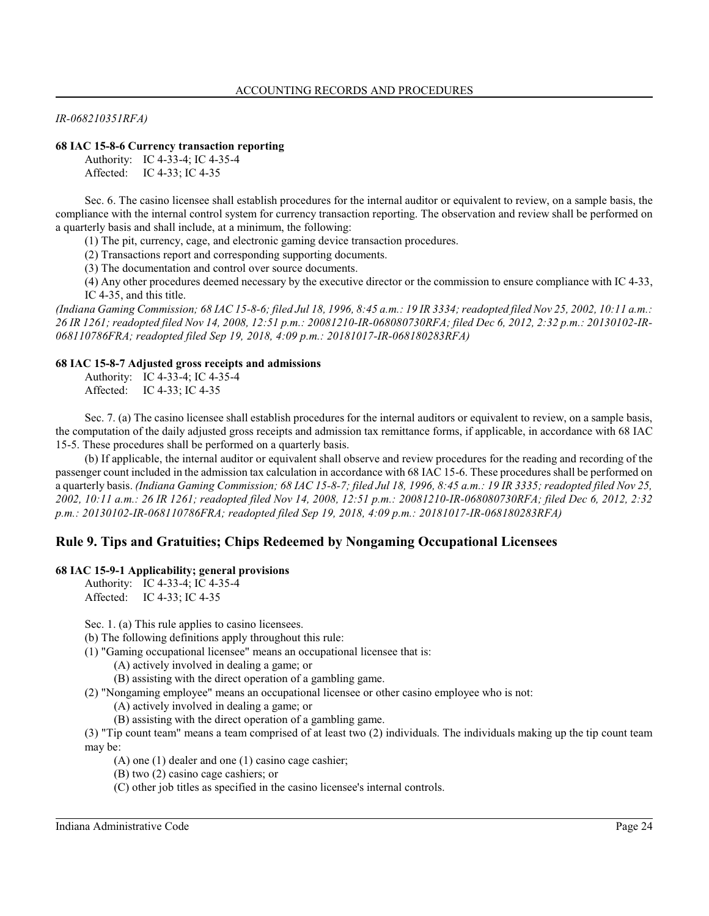*IR-068210351RFA)*

### **68 IAC 15-8-6 Currency transaction reporting**

Authority: IC 4-33-4; IC 4-35-4 Affected: IC 4-33; IC 4-35

Sec. 6. The casino licensee shall establish procedures for the internal auditor or equivalent to review, on a sample basis, the compliance with the internal control system for currency transaction reporting. The observation and review shall be performed on a quarterly basis and shall include, at a minimum, the following:

(1) The pit, currency, cage, and electronic gaming device transaction procedures.

(2) Transactions report and corresponding supporting documents.

(3) The documentation and control over source documents.

(4) Any other procedures deemed necessary by the executive director or the commission to ensure compliance with IC 4-33, IC 4-35, and this title.

*(Indiana Gaming Commission; 68 IAC 15-8-6; filed Jul 18, 1996, 8:45 a.m.: 19 IR 3334; readopted filed Nov 25, 2002, 10:11 a.m.: 26 IR 1261; readopted filed Nov 14, 2008, 12:51 p.m.: 20081210-IR-068080730RFA; filed Dec 6, 2012, 2:32 p.m.: 20130102-IR-068110786FRA; readopted filed Sep 19, 2018, 4:09 p.m.: 20181017-IR-068180283RFA)*

#### **68 IAC 15-8-7 Adjusted gross receipts and admissions**

Authority: IC 4-33-4; IC 4-35-4 Affected: IC 4-33; IC 4-35

Sec. 7. (a) The casino licensee shall establish procedures for the internal auditors or equivalent to review, on a sample basis, the computation of the daily adjusted gross receipts and admission tax remittance forms, if applicable, in accordance with 68 IAC 15-5. These procedures shall be performed on a quarterly basis.

(b) If applicable, the internal auditor or equivalent shall observe and review procedures for the reading and recording of the passenger count included in the admission tax calculation in accordance with 68 IAC 15-6. These procedures shall be performed on a quarterly basis. *(Indiana Gaming Commission; 68 IAC 15-8-7; filed Jul 18, 1996, 8:45 a.m.: 19 IR 3335; readopted filed Nov 25, 2002, 10:11 a.m.: 26 IR 1261; readopted filed Nov 14, 2008, 12:51 p.m.: 20081210-IR-068080730RFA; filed Dec 6, 2012, 2:32 p.m.: 20130102-IR-068110786FRA; readopted filed Sep 19, 2018, 4:09 p.m.: 20181017-IR-068180283RFA)*

# **Rule 9. Tips and Gratuities; Chips Redeemed by Nongaming Occupational Licensees**

#### **68 IAC 15-9-1 Applicability; general provisions**

Authority: IC 4-33-4; IC 4-35-4 Affected: IC 4-33; IC 4-35

Sec. 1. (a) This rule applies to casino licensees.

(b) The following definitions apply throughout this rule:

- (1) "Gaming occupational licensee" means an occupational licensee that is:
	- (A) actively involved in dealing a game; or
	- (B) assisting with the direct operation of a gambling game.
- (2) "Nongaming employee" means an occupational licensee or other casino employee who is not:
	- (A) actively involved in dealing a game; or
	- (B) assisting with the direct operation of a gambling game.

(3) "Tip count team" means a team comprised of at least two (2) individuals. The individuals making up the tip count team may be:

- (A) one (1) dealer and one (1) casino cage cashier;
- (B) two (2) casino cage cashiers; or
- (C) other job titles as specified in the casino licensee's internal controls.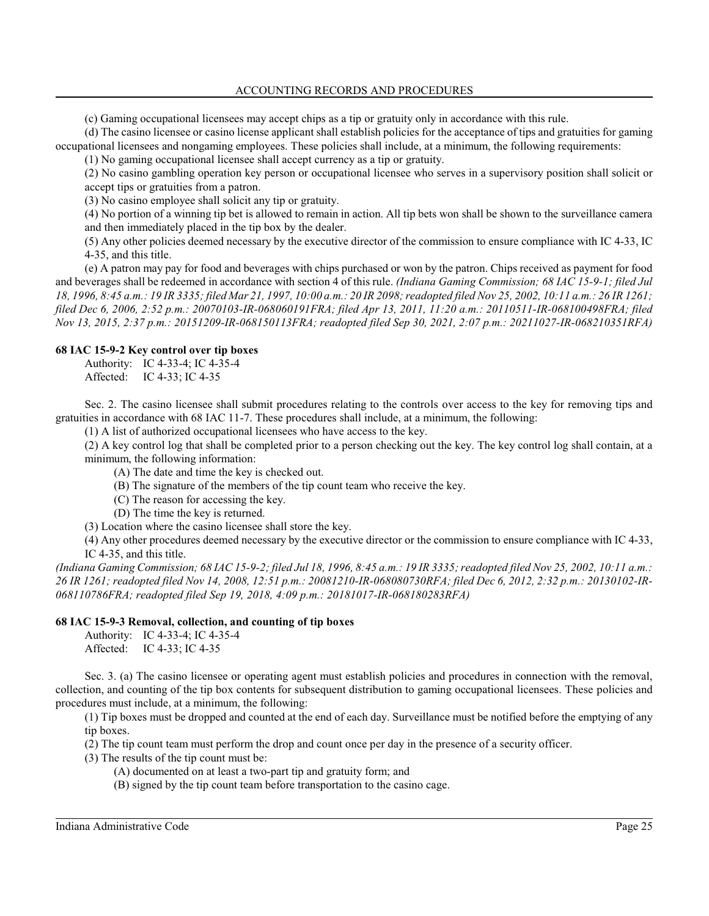ACCOUNTING RECORDS AND PROCEDURES

(c) Gaming occupational licensees may accept chips as a tip or gratuity only in accordance with this rule.

(d) The casino licensee or casino license applicant shall establish policies for the acceptance of tips and gratuities for gaming occupational licensees and nongaming employees. These policies shall include, at a minimum, the following requirements:

(1) No gaming occupational licensee shall accept currency as a tip or gratuity.

(2) No casino gambling operation key person or occupational licensee who serves in a supervisory position shall solicit or accept tips or gratuities from a patron.

(3) No casino employee shall solicit any tip or gratuity.

(4) No portion of a winning tip bet is allowed to remain in action. All tip bets won shall be shown to the surveillance camera and then immediately placed in the tip box by the dealer.

(5) Any other policies deemed necessary by the executive director of the commission to ensure compliance with IC 4-33, IC 4-35, and this title.

(e) A patron may pay for food and beverages with chips purchased or won by the patron. Chips received as payment for food and beverages shall be redeemed in accordance with section 4 of this rule. *(Indiana Gaming Commission; 68 IAC 15-9-1; filed Jul 18, 1996, 8:45 a.m.: 19 IR 3335; filed Mar 21, 1997, 10:00 a.m.: 20 IR 2098; readopted filed Nov 25, 2002, 10:11 a.m.: 26 IR 1261; filed Dec 6, 2006, 2:52 p.m.: 20070103-IR-068060191FRA; filed Apr 13, 2011, 11:20 a.m.: 20110511-IR-068100498FRA; filed Nov 13, 2015, 2:37 p.m.: 20151209-IR-068150113FRA; readopted filed Sep 30, 2021, 2:07 p.m.: 20211027-IR-068210351RFA)*

# **68 IAC 15-9-2 Key control over tip boxes**

Authority: IC 4-33-4; IC 4-35-4 Affected: IC 4-33; IC 4-35

Sec. 2. The casino licensee shall submit procedures relating to the controls over access to the key for removing tips and gratuities in accordance with 68 IAC 11-7. These procedures shall include, at a minimum, the following:

(1) A list of authorized occupational licensees who have access to the key.

(2) A key control log that shall be completed prior to a person checking out the key. The key control log shall contain, at a minimum, the following information:

- (A) The date and time the key is checked out.
- (B) The signature of the members of the tip count team who receive the key.
- (C) The reason for accessing the key.
- (D) The time the key is returned.
- (3) Location where the casino licensee shall store the key.

(4) Any other procedures deemed necessary by the executive director or the commission to ensure compliance with IC 4-33, IC 4-35, and this title.

*(Indiana Gaming Commission; 68 IAC 15-9-2; filed Jul 18, 1996, 8:45 a.m.: 19 IR 3335; readopted filed Nov 25, 2002, 10:11 a.m.: 26 IR 1261; readopted filed Nov 14, 2008, 12:51 p.m.: 20081210-IR-068080730RFA; filed Dec 6, 2012, 2:32 p.m.: 20130102-IR-068110786FRA; readopted filed Sep 19, 2018, 4:09 p.m.: 20181017-IR-068180283RFA)*

### **68 IAC 15-9-3 Removal, collection, and counting of tip boxes**

Authority: IC 4-33-4; IC 4-35-4 Affected: IC 4-33; IC 4-35

Sec. 3. (a) The casino licensee or operating agent must establish policies and procedures in connection with the removal, collection, and counting of the tip box contents for subsequent distribution to gaming occupational licensees. These policies and procedures must include, at a minimum, the following:

(1) Tip boxes must be dropped and counted at the end of each day. Surveillance must be notified before the emptying of any tip boxes.

(2) The tip count team must perform the drop and count once per day in the presence of a security officer.

- (3) The results of the tip count must be:
	- (A) documented on at least a two-part tip and gratuity form; and
	- (B) signed by the tip count team before transportation to the casino cage.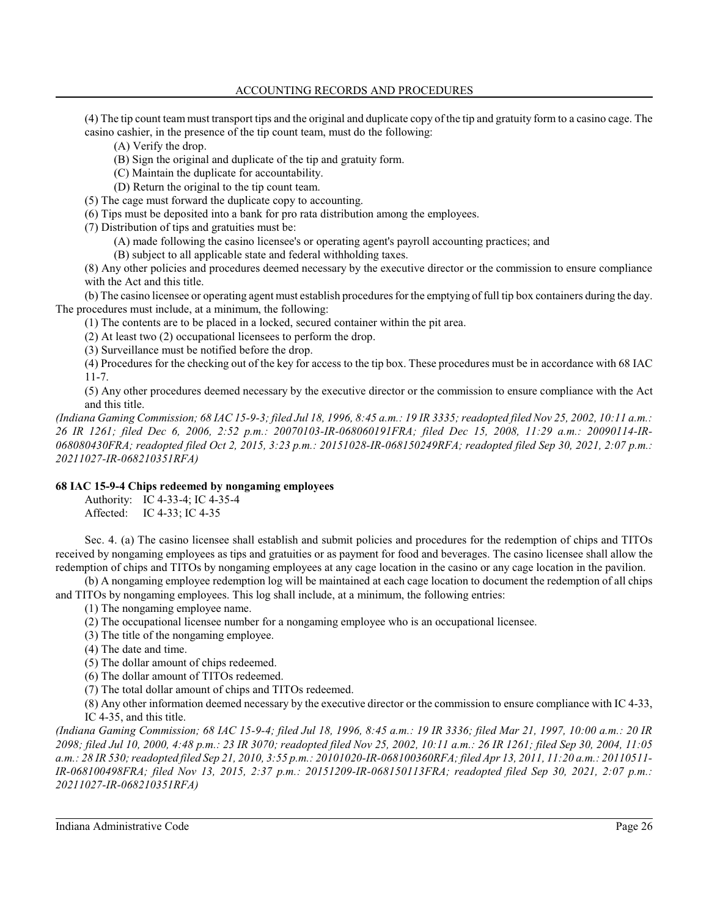(4) The tip count team must transport tips and the original and duplicate copy of the tip and gratuity form to a casino cage. The casino cashier, in the presence of the tip count team, must do the following:

(A) Verify the drop.

(B) Sign the original and duplicate of the tip and gratuity form.

(C) Maintain the duplicate for accountability.

(D) Return the original to the tip count team.

(5) The cage must forward the duplicate copy to accounting.

(6) Tips must be deposited into a bank for pro rata distribution among the employees.

(7) Distribution of tips and gratuities must be:

(A) made following the casino licensee's or operating agent's payroll accounting practices; and

(B) subject to all applicable state and federal withholding taxes.

(8) Any other policies and procedures deemed necessary by the executive director or the commission to ensure compliance with the Act and this title.

(b) The casino licensee or operating agent must establish procedures for the emptying of full tip box containers during the day. The procedures must include, at a minimum, the following:

(1) The contents are to be placed in a locked, secured container within the pit area.

(2) At least two (2) occupational licensees to perform the drop.

(3) Surveillance must be notified before the drop.

(4) Procedures for the checking out of the key for access to the tip box. These procedures must be in accordance with 68 IAC 11-7.

(5) Any other procedures deemed necessary by the executive director or the commission to ensure compliance with the Act and this title.

*(Indiana Gaming Commission; 68 IAC 15-9-3; filed Jul 18, 1996, 8:45 a.m.: 19 IR 3335; readopted filed Nov 25, 2002, 10:11 a.m.: 26 IR 1261; filed Dec 6, 2006, 2:52 p.m.: 20070103-IR-068060191FRA; filed Dec 15, 2008, 11:29 a.m.: 20090114-IR-068080430FRA; readopted filed Oct 2, 2015, 3:23 p.m.: 20151028-IR-068150249RFA; readopted filed Sep 30, 2021, 2:07 p.m.: 20211027-IR-068210351RFA)*

### **68 IAC 15-9-4 Chips redeemed by nongaming employees**

Authority: IC 4-33-4; IC 4-35-4 Affected: IC 4-33; IC 4-35

Sec. 4. (a) The casino licensee shall establish and submit policies and procedures for the redemption of chips and TITOs received by nongaming employees as tips and gratuities or as payment for food and beverages. The casino licensee shall allow the redemption of chips and TITOs by nongaming employees at any cage location in the casino or any cage location in the pavilion.

(b) A nongaming employee redemption log will be maintained at each cage location to document the redemption of all chips and TITOs by nongaming employees. This log shall include, at a minimum, the following entries:

(1) The nongaming employee name.

(2) The occupational licensee number for a nongaming employee who is an occupational licensee.

- (3) The title of the nongaming employee.
- (4) The date and time.
- (5) The dollar amount of chips redeemed.

(6) The dollar amount of TITOs redeemed.

(7) The total dollar amount of chips and TITOs redeemed.

(8) Any other information deemed necessary by the executive director or the commission to ensure compliance with IC 4-33, IC 4-35, and this title.

*(Indiana Gaming Commission; 68 IAC 15-9-4; filed Jul 18, 1996, 8:45 a.m.: 19 IR 3336; filed Mar 21, 1997, 10:00 a.m.: 20 IR 2098; filed Jul 10, 2000, 4:48 p.m.: 23 IR 3070; readopted filed Nov 25, 2002, 10:11 a.m.: 26 IR 1261; filed Sep 30, 2004, 11:05 a.m.: 28 IR 530;readopted filed Sep 21, 2010, 3:55 p.m.: 20101020-IR-068100360RFA; filed Apr 13, 2011, 11:20 a.m.: 20110511- IR-068100498FRA; filed Nov 13, 2015, 2:37 p.m.: 20151209-IR-068150113FRA; readopted filed Sep 30, 2021, 2:07 p.m.: 20211027-IR-068210351RFA)*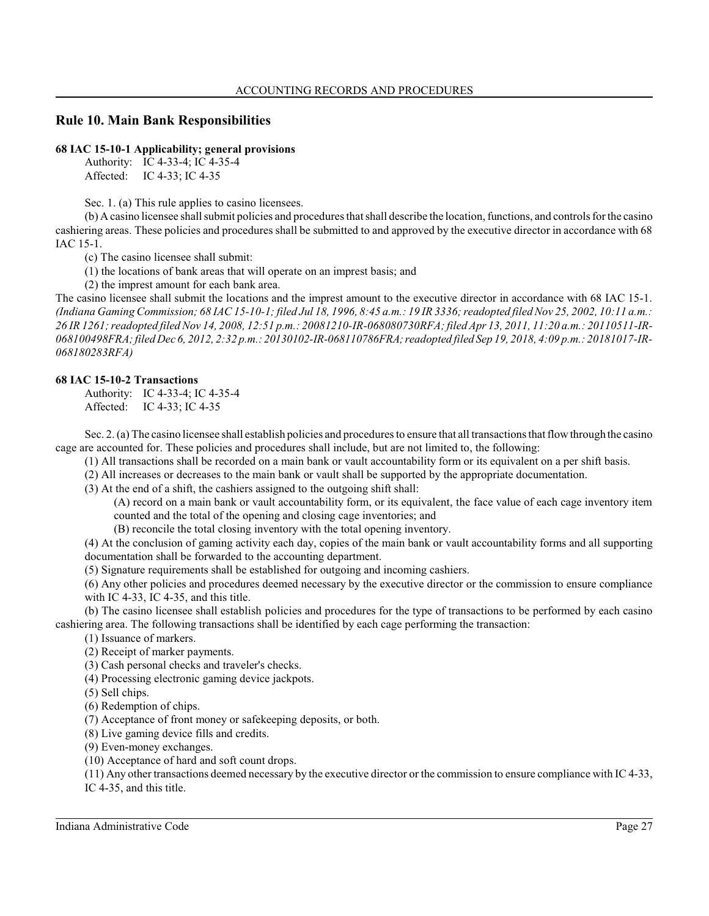# **Rule 10. Main Bank Responsibilities**

### **68 IAC 15-10-1 Applicability; general provisions**

Authority: IC 4-33-4; IC 4-35-4 Affected: IC 4-33; IC 4-35

Sec. 1. (a) This rule applies to casino licensees.

(b) A casino licensee shall submit policies and procedures that shall describe the location, functions, and controls for the casino cashiering areas. These policies and procedures shall be submitted to and approved by the executive director in accordance with 68 IAC 15-1.

(c) The casino licensee shall submit:

(1) the locations of bank areas that will operate on an imprest basis; and

(2) the imprest amount for each bank area.

The casino licensee shall submit the locations and the imprest amount to the executive director in accordance with 68 IAC 15-1. *(Indiana Gaming Commission; 68 IAC 15-10-1; filed Jul 18, 1996, 8:45 a.m.: 19 IR 3336; readopted filed Nov 25, 2002, 10:11 a.m.: 26 IR 1261; readopted filed Nov 14, 2008, 12:51 p.m.: 20081210-IR-068080730RFA; filed Apr 13, 2011, 11:20 a.m.: 20110511-IR-068100498FRA; filed Dec 6, 2012, 2:32 p.m.: 20130102-IR-068110786FRA; readopted filed Sep 19, 2018, 4:09 p.m.: 20181017-IR-068180283RFA)*

# **68 IAC 15-10-2 Transactions**

Authority: IC 4-33-4; IC 4-35-4 Affected: IC 4-33; IC 4-35

Sec. 2. (a) The casino licensee shall establish policies and procedures to ensure that all transactions that flowthrough the casino cage are accounted for. These policies and procedures shall include, but are not limited to, the following:

(1) All transactions shall be recorded on a main bank or vault accountability form or its equivalent on a per shift basis.

(2) All increases or decreases to the main bank or vault shall be supported by the appropriate documentation.

(3) At the end of a shift, the cashiers assigned to the outgoing shift shall:

(A) record on a main bank or vault accountability form, or its equivalent, the face value of each cage inventory item counted and the total of the opening and closing cage inventories; and

(B) reconcile the total closing inventory with the total opening inventory.

(4) At the conclusion of gaming activity each day, copies of the main bank or vault accountability forms and all supporting documentation shall be forwarded to the accounting department.

(5) Signature requirements shall be established for outgoing and incoming cashiers.

(6) Any other policies and procedures deemed necessary by the executive director or the commission to ensure compliance with IC 4-33, IC 4-35, and this title.

(b) The casino licensee shall establish policies and procedures for the type of transactions to be performed by each casino cashiering area. The following transactions shall be identified by each cage performing the transaction:

(1) Issuance of markers.

(2) Receipt of marker payments.

(3) Cash personal checks and traveler's checks.

(4) Processing electronic gaming device jackpots.

(5) Sell chips.

(6) Redemption of chips.

(7) Acceptance of front money or safekeeping deposits, or both.

(8) Live gaming device fills and credits.

(9) Even-money exchanges.

(10) Acceptance of hard and soft count drops.

(11) Any other transactions deemed necessary by the executive director or the commission to ensure compliance with IC 4-33, IC 4-35, and this title.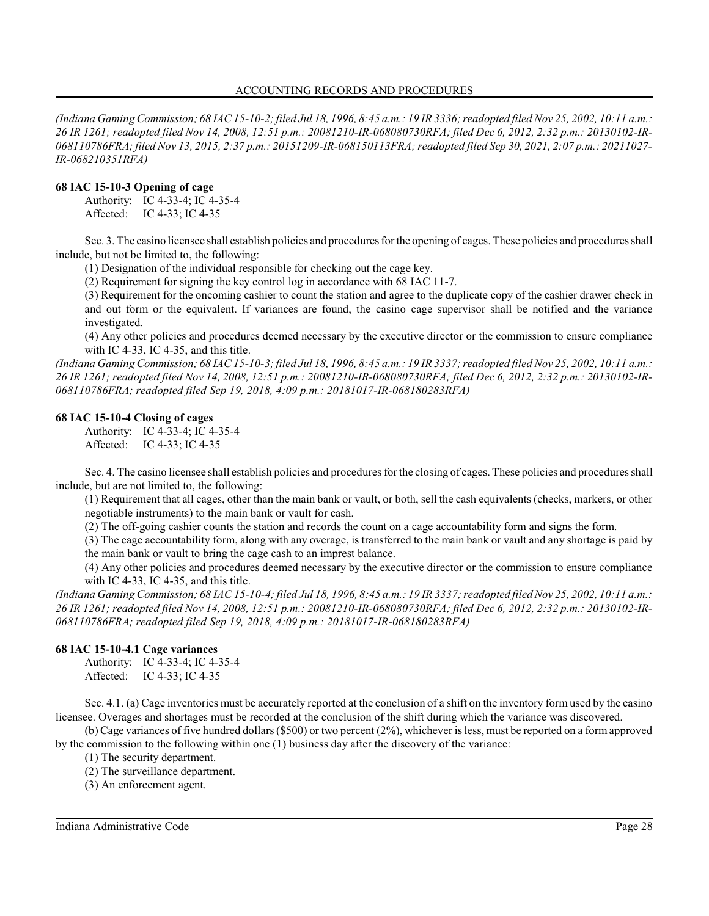*(Indiana Gaming Commission; 68 IAC 15-10-2; filed Jul 18, 1996, 8:45 a.m.: 19 IR 3336; readopted filed Nov 25, 2002, 10:11 a.m.: 26 IR 1261; readopted filed Nov 14, 2008, 12:51 p.m.: 20081210-IR-068080730RFA; filed Dec 6, 2012, 2:32 p.m.: 20130102-IR-068110786FRA; filed Nov 13, 2015, 2:37 p.m.: 20151209-IR-068150113FRA; readopted filed Sep 30, 2021, 2:07 p.m.: 20211027- IR-068210351RFA)*

# **68 IAC 15-10-3 Opening of cage**

Authority: IC 4-33-4; IC 4-35-4 Affected: IC 4-33; IC 4-35

Sec. 3. The casino licensee shall establish policies and procedures for the opening of cages. These policies and procedures shall include, but not be limited to, the following:

(1) Designation of the individual responsible for checking out the cage key.

(2) Requirement for signing the key control log in accordance with 68 IAC 11-7.

(3) Requirement for the oncoming cashier to count the station and agree to the duplicate copy of the cashier drawer check in and out form or the equivalent. If variances are found, the casino cage supervisor shall be notified and the variance investigated.

(4) Any other policies and procedures deemed necessary by the executive director or the commission to ensure compliance with IC 4-33, IC 4-35, and this title.

*(Indiana Gaming Commission; 68 IAC 15-10-3; filed Jul 18, 1996, 8:45 a.m.: 19 IR 3337; readopted filed Nov 25, 2002, 10:11 a.m.: 26 IR 1261; readopted filed Nov 14, 2008, 12:51 p.m.: 20081210-IR-068080730RFA; filed Dec 6, 2012, 2:32 p.m.: 20130102-IR-068110786FRA; readopted filed Sep 19, 2018, 4:09 p.m.: 20181017-IR-068180283RFA)*

### **68 IAC 15-10-4 Closing of cages**

Authority: IC 4-33-4; IC 4-35-4 Affected: IC 4-33; IC 4-35

Sec. 4. The casino licensee shall establish policies and procedures for the closing of cages. These policies and procedures shall include, but are not limited to, the following:

(1) Requirement that all cages, other than the main bank or vault, or both, sell the cash equivalents (checks, markers, or other negotiable instruments) to the main bank or vault for cash.

(2) The off-going cashier counts the station and records the count on a cage accountability form and signs the form.

(3) The cage accountability form, along with any overage, is transferred to the main bank or vault and any shortage is paid by

the main bank or vault to bring the cage cash to an imprest balance.

(4) Any other policies and procedures deemed necessary by the executive director or the commission to ensure compliance with IC 4-33, IC 4-35, and this title.

*(Indiana Gaming Commission; 68 IAC 15-10-4; filed Jul 18, 1996, 8:45 a.m.: 19 IR 3337; readopted filed Nov 25, 2002, 10:11 a.m.: 26 IR 1261; readopted filed Nov 14, 2008, 12:51 p.m.: 20081210-IR-068080730RFA; filed Dec 6, 2012, 2:32 p.m.: 20130102-IR-068110786FRA; readopted filed Sep 19, 2018, 4:09 p.m.: 20181017-IR-068180283RFA)*

# **68 IAC 15-10-4.1 Cage variances**

Authority: IC 4-33-4; IC 4-35-4 Affected: IC 4-33; IC 4-35

Sec. 4.1. (a) Cage inventories must be accurately reported at the conclusion of a shift on the inventory form used by the casino licensee. Overages and shortages must be recorded at the conclusion of the shift during which the variance was discovered.

(b) Cage variances of five hundred dollars (\$500) or two percent (2%), whichever is less, must be reported on a formapproved by the commission to the following within one (1) business day after the discovery of the variance:

(1) The security department.

(2) The surveillance department.

(3) An enforcement agent.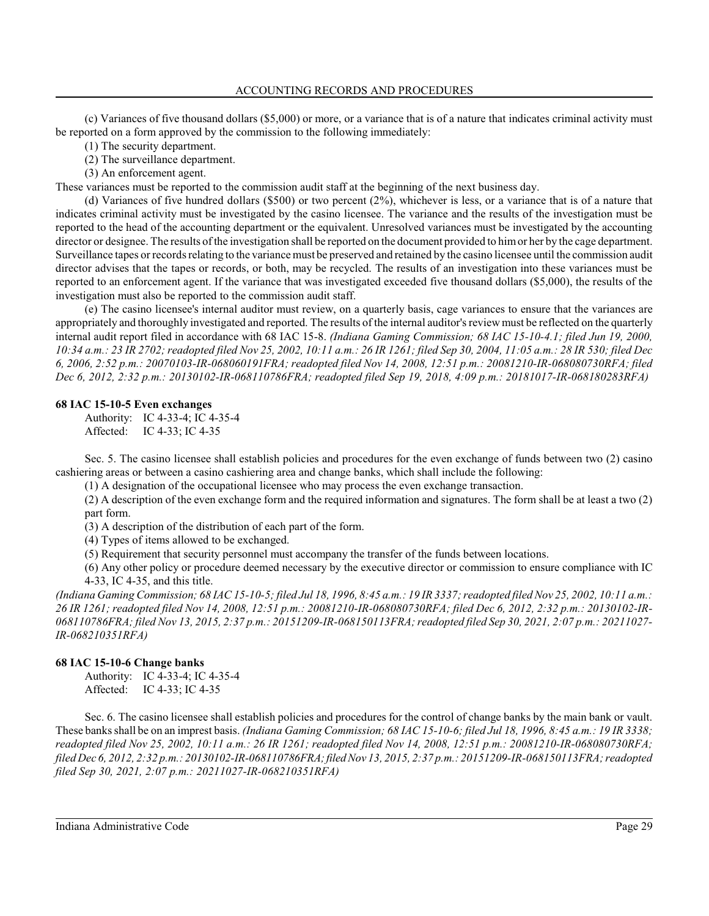### ACCOUNTING RECORDS AND PROCEDURES

(c) Variances of five thousand dollars (\$5,000) or more, or a variance that is of a nature that indicates criminal activity must be reported on a form approved by the commission to the following immediately:

(1) The security department.

(2) The surveillance department.

(3) An enforcement agent.

These variances must be reported to the commission audit staff at the beginning of the next business day.

(d) Variances of five hundred dollars (\$500) or two percent (2%), whichever is less, or a variance that is of a nature that indicates criminal activity must be investigated by the casino licensee. The variance and the results of the investigation must be reported to the head of the accounting department or the equivalent. Unresolved variances must be investigated by the accounting director or designee. The results of the investigation shall be reported on the document provided to himor her by the cage department. Surveillance tapes or records relating to the variance must be preserved and retained by the casino licensee until the commission audit director advises that the tapes or records, or both, may be recycled. The results of an investigation into these variances must be reported to an enforcement agent. If the variance that was investigated exceeded five thousand dollars (\$5,000), the results of the investigation must also be reported to the commission audit staff.

(e) The casino licensee's internal auditor must review, on a quarterly basis, cage variances to ensure that the variances are appropriately and thoroughly investigated and reported. The results of the internal auditor's review must be reflected on the quarterly internal audit report filed in accordance with 68 IAC 15-8. *(Indiana Gaming Commission; 68 IAC 15-10-4.1; filed Jun 19, 2000, 10:34 a.m.: 23 IR 2702; readopted filed Nov 25, 2002, 10:11 a.m.: 26 IR 1261; filed Sep 30, 2004, 11:05 a.m.: 28 IR 530; filed Dec 6, 2006, 2:52 p.m.: 20070103-IR-068060191FRA; readopted filed Nov 14, 2008, 12:51 p.m.: 20081210-IR-068080730RFA; filed Dec 6, 2012, 2:32 p.m.: 20130102-IR-068110786FRA; readopted filed Sep 19, 2018, 4:09 p.m.: 20181017-IR-068180283RFA)*

### **68 IAC 15-10-5 Even exchanges**

Authority: IC 4-33-4; IC 4-35-4 Affected: IC 4-33; IC 4-35

Sec. 5. The casino licensee shall establish policies and procedures for the even exchange of funds between two (2) casino cashiering areas or between a casino cashiering area and change banks, which shall include the following:

(1) A designation of the occupational licensee who may process the even exchange transaction.

(2) A description of the even exchange form and the required information and signatures. The form shall be at least a two (2) part form.

(3) A description of the distribution of each part of the form.

(4) Types of items allowed to be exchanged.

(5) Requirement that security personnel must accompany the transfer of the funds between locations.

(6) Any other policy or procedure deemed necessary by the executive director or commission to ensure compliance with IC 4-33, IC 4-35, and this title.

*(Indiana Gaming Commission; 68 IAC 15-10-5; filed Jul 18, 1996, 8:45 a.m.: 19 IR 3337; readopted filed Nov 25, 2002, 10:11 a.m.: 26 IR 1261; readopted filed Nov 14, 2008, 12:51 p.m.: 20081210-IR-068080730RFA; filed Dec 6, 2012, 2:32 p.m.: 20130102-IR-068110786FRA; filed Nov 13, 2015, 2:37 p.m.: 20151209-IR-068150113FRA; readopted filed Sep 30, 2021, 2:07 p.m.: 20211027- IR-068210351RFA)*

# **68 IAC 15-10-6 Change banks**

Authority: IC 4-33-4; IC 4-35-4 Affected: IC 4-33; IC 4-35

Sec. 6. The casino licensee shall establish policies and procedures for the control of change banks by the main bank or vault. These banks shall be on an imprest basis. *(Indiana Gaming Commission; 68 IAC 15-10-6; filed Jul 18, 1996, 8:45 a.m.: 19 IR 3338; readopted filed Nov 25, 2002, 10:11 a.m.: 26 IR 1261; readopted filed Nov 14, 2008, 12:51 p.m.: 20081210-IR-068080730RFA; filed Dec 6, 2012, 2:32 p.m.: 20130102-IR-068110786FRA; filed Nov 13, 2015, 2:37 p.m.: 20151209-IR-068150113FRA; readopted filed Sep 30, 2021, 2:07 p.m.: 20211027-IR-068210351RFA)*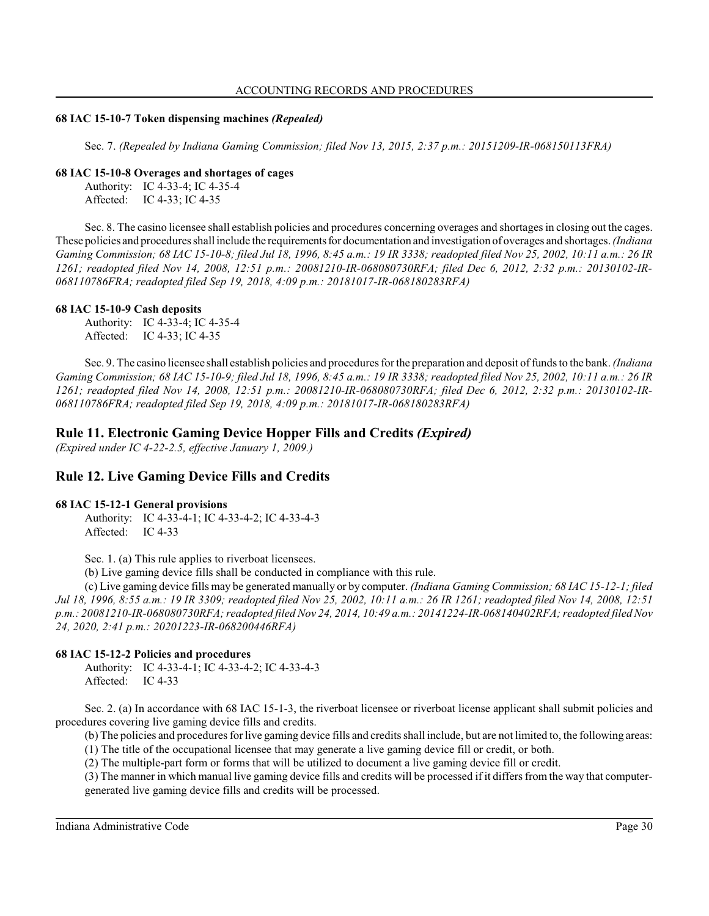### ACCOUNTING RECORDS AND PROCEDURES

### **68 IAC 15-10-7 Token dispensing machines** *(Repealed)*

Sec. 7. *(Repealed by Indiana Gaming Commission; filed Nov 13, 2015, 2:37 p.m.: 20151209-IR-068150113FRA)*

### **68 IAC 15-10-8 Overages and shortages of cages**

Authority: IC 4-33-4; IC 4-35-4 Affected: IC 4-33; IC 4-35

Sec. 8. The casino licensee shall establish policies and procedures concerning overages and shortages in closing out the cages. These policies and procedures shall include the requirementsfor documentation and investigation of overages and shortages. *(Indiana Gaming Commission; 68 IAC 15-10-8; filed Jul 18, 1996, 8:45 a.m.: 19 IR 3338; readopted filed Nov 25, 2002, 10:11 a.m.: 26 IR 1261; readopted filed Nov 14, 2008, 12:51 p.m.: 20081210-IR-068080730RFA; filed Dec 6, 2012, 2:32 p.m.: 20130102-IR-068110786FRA; readopted filed Sep 19, 2018, 4:09 p.m.: 20181017-IR-068180283RFA)*

# **68 IAC 15-10-9 Cash deposits**

Authority: IC 4-33-4; IC 4-35-4 Affected: IC 4-33; IC 4-35

Sec. 9. The casino licensee shall establish policies and procedures for the preparation and deposit of funds to the bank. *(Indiana Gaming Commission; 68 IAC 15-10-9; filed Jul 18, 1996, 8:45 a.m.: 19 IR 3338; readopted filed Nov 25, 2002, 10:11 a.m.: 26 IR 1261; readopted filed Nov 14, 2008, 12:51 p.m.: 20081210-IR-068080730RFA; filed Dec 6, 2012, 2:32 p.m.: 20130102-IR-068110786FRA; readopted filed Sep 19, 2018, 4:09 p.m.: 20181017-IR-068180283RFA)*

# **Rule 11. Electronic Gaming Device Hopper Fills and Credits** *(Expired)*

*(Expired under IC 4-22-2.5, effective January 1, 2009.)*

# **Rule 12. Live Gaming Device Fills and Credits**

# **68 IAC 15-12-1 General provisions**

Authority: IC 4-33-4-1; IC 4-33-4-2; IC 4-33-4-3 Affected: IC 4-33

Sec. 1. (a) This rule applies to riverboat licensees.

(b) Live gaming device fills shall be conducted in compliance with this rule.

(c) Live gaming device fills may be generated manually or by computer. *(Indiana Gaming Commission; 68 IAC 15-12-1; filed Jul 18, 1996, 8:55 a.m.: 19 IR 3309; readopted filed Nov 25, 2002, 10:11 a.m.: 26 IR 1261; readopted filed Nov 14, 2008, 12:51 p.m.: 20081210-IR-068080730RFA; readopted filed Nov 24, 2014, 10:49 a.m.: 20141224-IR-068140402RFA; readopted filed Nov 24, 2020, 2:41 p.m.: 20201223-IR-068200446RFA)*

# **68 IAC 15-12-2 Policies and procedures**

Authority: IC 4-33-4-1; IC 4-33-4-2; IC 4-33-4-3 Affected: IC 4-33

Sec. 2. (a) In accordance with 68 IAC 15-1-3, the riverboat licensee or riverboat license applicant shall submit policies and procedures covering live gaming device fills and credits.

(b) The policies and procedures for live gaming device fills and credits shall include, but are not limited to, the following areas:

(1) The title of the occupational licensee that may generate a live gaming device fill or credit, or both.

(2) The multiple-part form or forms that will be utilized to document a live gaming device fill or credit.

(3) The manner in which manual live gaming device fills and credits will be processed if it differs from the way that computergenerated live gaming device fills and credits will be processed.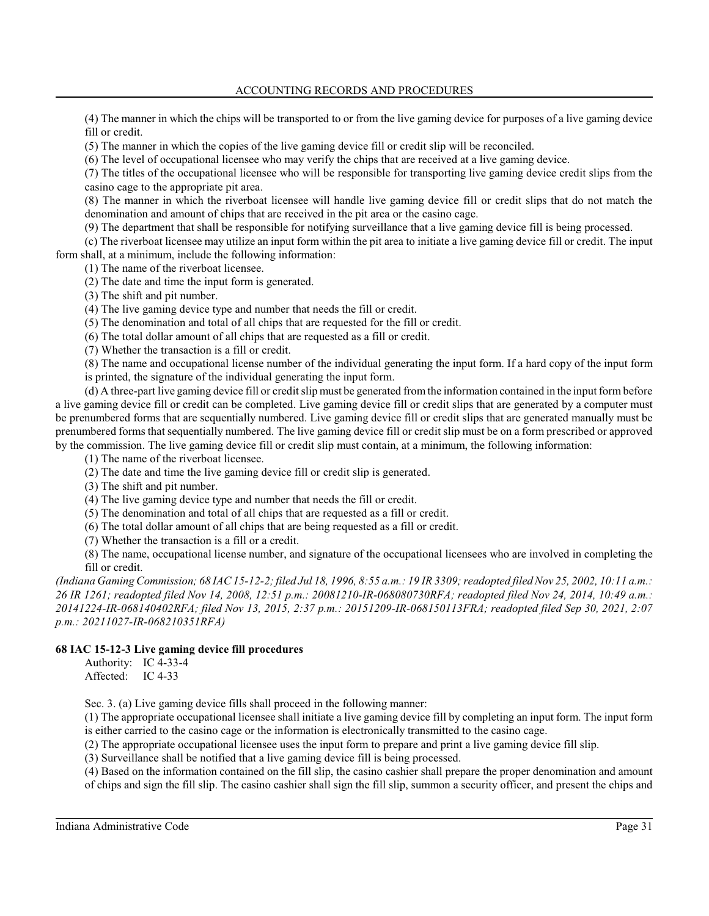(4) The manner in which the chips will be transported to or from the live gaming device for purposes of a live gaming device fill or credit.

(5) The manner in which the copies of the live gaming device fill or credit slip will be reconciled.

(6) The level of occupational licensee who may verify the chips that are received at a live gaming device.

(7) The titles of the occupational licensee who will be responsible for transporting live gaming device credit slips from the casino cage to the appropriate pit area.

(8) The manner in which the riverboat licensee will handle live gaming device fill or credit slips that do not match the denomination and amount of chips that are received in the pit area or the casino cage.

(9) The department that shall be responsible for notifying surveillance that a live gaming device fill is being processed.

(c) The riverboat licensee may utilize an input form within the pit area to initiate a live gaming device fill or credit. The input form shall, at a minimum, include the following information:

(1) The name of the riverboat licensee.

(2) The date and time the input form is generated.

(3) The shift and pit number.

(4) The live gaming device type and number that needs the fill or credit.

(5) The denomination and total of all chips that are requested for the fill or credit.

(6) The total dollar amount of all chips that are requested as a fill or credit.

(7) Whether the transaction is a fill or credit.

(8) The name and occupational license number of the individual generating the input form. If a hard copy of the input form is printed, the signature of the individual generating the input form.

(d) A three-part live gaming device fill or credit slip must be generated fromthe information contained in the input form before a live gaming device fill or credit can be completed. Live gaming device fill or credit slips that are generated by a computer must be prenumbered forms that are sequentially numbered. Live gaming device fill or credit slips that are generated manually must be prenumbered forms that sequentially numbered. The live gaming device fill or credit slip must be on a form prescribed or approved by the commission. The live gaming device fill or credit slip must contain, at a minimum, the following information:

(1) The name of the riverboat licensee.

(2) The date and time the live gaming device fill or credit slip is generated.

(3) The shift and pit number.

(4) The live gaming device type and number that needs the fill or credit.

(5) The denomination and total of all chips that are requested as a fill or credit.

(6) The total dollar amount of all chips that are being requested as a fill or credit.

(7) Whether the transaction is a fill or a credit.

(8) The name, occupational license number, and signature of the occupational licensees who are involved in completing the fill or credit.

*(Indiana Gaming Commission; 68 IAC 15-12-2; filed Jul 18, 1996, 8:55 a.m.: 19 IR 3309; readopted filed Nov 25, 2002, 10:11 a.m.: 26 IR 1261; readopted filed Nov 14, 2008, 12:51 p.m.: 20081210-IR-068080730RFA; readopted filed Nov 24, 2014, 10:49 a.m.: 20141224-IR-068140402RFA; filed Nov 13, 2015, 2:37 p.m.: 20151209-IR-068150113FRA; readopted filed Sep 30, 2021, 2:07 p.m.: 20211027-IR-068210351RFA)*

# **68 IAC 15-12-3 Live gaming device fill procedures**

Authority: IC 4-33-4 Affected: IC 4-33

Sec. 3. (a) Live gaming device fills shall proceed in the following manner:

(1) The appropriate occupational licensee shall initiate a live gaming device fill by completing an input form. The input form is either carried to the casino cage or the information is electronically transmitted to the casino cage.

(2) The appropriate occupational licensee uses the input form to prepare and print a live gaming device fill slip.

(3) Surveillance shall be notified that a live gaming device fill is being processed.

(4) Based on the information contained on the fill slip, the casino cashier shall prepare the proper denomination and amount of chips and sign the fill slip. The casino cashier shall sign the fill slip, summon a security officer, and present the chips and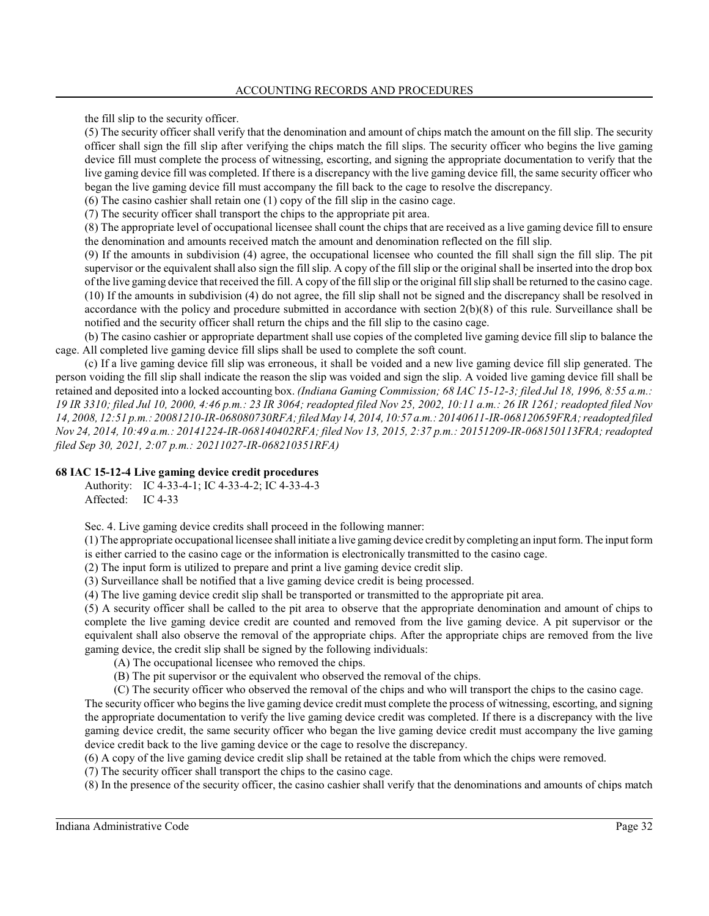the fill slip to the security officer.

(5) The security officer shall verify that the denomination and amount of chips match the amount on the fill slip. The security officer shall sign the fill slip after verifying the chips match the fill slips. The security officer who begins the live gaming device fill must complete the process of witnessing, escorting, and signing the appropriate documentation to verify that the live gaming device fill was completed. If there is a discrepancy with the live gaming device fill, the same security officer who began the live gaming device fill must accompany the fill back to the cage to resolve the discrepancy.

(6) The casino cashier shall retain one (1) copy of the fill slip in the casino cage.

(7) The security officer shall transport the chips to the appropriate pit area.

(8) The appropriate level of occupational licensee shall count the chips that are received as a live gaming device fill to ensure the denomination and amounts received match the amount and denomination reflected on the fill slip.

(9) If the amounts in subdivision (4) agree, the occupational licensee who counted the fill shall sign the fill slip. The pit supervisor or the equivalent shall also sign the fill slip. A copy of the fill slip or the original shall be inserted into the drop box of the live gaming device that received the fill. A copy of the fillslip or the original fillslip shall be returned to the casino cage. (10) If the amounts in subdivision (4) do not agree, the fill slip shall not be signed and the discrepancy shall be resolved in accordance with the policy and procedure submitted in accordance with section 2(b)(8) of this rule. Surveillance shall be notified and the security officer shall return the chips and the fill slip to the casino cage.

(b) The casino cashier or appropriate department shall use copies of the completed live gaming device fill slip to balance the cage. All completed live gaming device fill slips shall be used to complete the soft count.

(c) If a live gaming device fill slip was erroneous, it shall be voided and a new live gaming device fill slip generated. The person voiding the fill slip shall indicate the reason the slip was voided and sign the slip. A voided live gaming device fill shall be retained and deposited into a locked accounting box. *(Indiana Gaming Commission; 68 IAC 15-12-3; filed Jul 18, 1996, 8:55 a.m.: 19 IR 3310; filed Jul 10, 2000, 4:46 p.m.: 23 IR 3064; readopted filed Nov 25, 2002, 10:11 a.m.: 26 IR 1261; readopted filed Nov 14, 2008, 12:51 p.m.: 20081210-IR-068080730RFA; filed May 14, 2014, 10:57 a.m.: 20140611-IR-068120659FRA; readopted filed Nov 24, 2014, 10:49 a.m.: 20141224-IR-068140402RFA; filed Nov 13, 2015, 2:37 p.m.: 20151209-IR-068150113FRA; readopted filed Sep 30, 2021, 2:07 p.m.: 20211027-IR-068210351RFA)*

# **68 IAC 15-12-4 Live gaming device credit procedures**

Authority: IC 4-33-4-1; IC 4-33-4-2; IC 4-33-4-3 Affected: IC 4-33

Sec. 4. Live gaming device credits shall proceed in the following manner:

(1) The appropriate occupational licensee shall initiate a live gaming device credit by completing an input form. The input form is either carried to the casino cage or the information is electronically transmitted to the casino cage.

(2) The input form is utilized to prepare and print a live gaming device credit slip.

(3) Surveillance shall be notified that a live gaming device credit is being processed.

(4) The live gaming device credit slip shall be transported or transmitted to the appropriate pit area.

(5) A security officer shall be called to the pit area to observe that the appropriate denomination and amount of chips to complete the live gaming device credit are counted and removed from the live gaming device. A pit supervisor or the equivalent shall also observe the removal of the appropriate chips. After the appropriate chips are removed from the live gaming device, the credit slip shall be signed by the following individuals:

- (A) The occupational licensee who removed the chips.
- (B) The pit supervisor or the equivalent who observed the removal of the chips.
- (C) The security officer who observed the removal of the chips and who will transport the chips to the casino cage.

The security officer who begins the live gaming device credit must complete the process of witnessing, escorting, and signing the appropriate documentation to verify the live gaming device credit was completed. If there is a discrepancy with the live gaming device credit, the same security officer who began the live gaming device credit must accompany the live gaming device credit back to the live gaming device or the cage to resolve the discrepancy.

(6) A copy of the live gaming device credit slip shall be retained at the table from which the chips were removed.

(7) The security officer shall transport the chips to the casino cage.

(8) In the presence of the security officer, the casino cashier shall verify that the denominations and amounts of chips match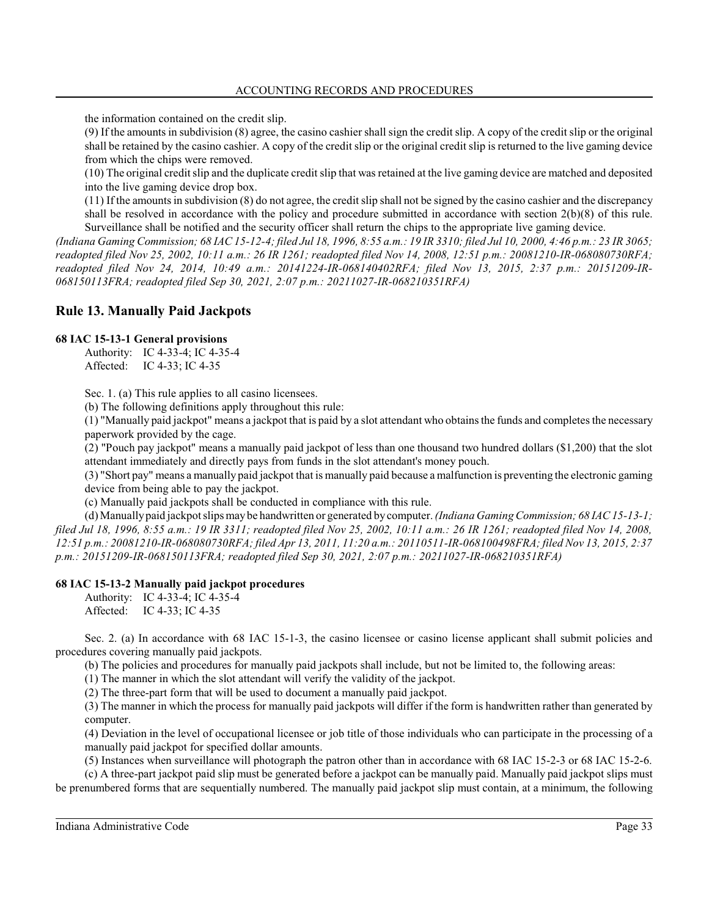the information contained on the credit slip.

(9) If the amountsin subdivision (8) agree, the casino cashier shall sign the credit slip. A copy of the credit slip or the original shall be retained by the casino cashier. A copy of the credit slip or the original credit slip is returned to the live gaming device from which the chips were removed.

(10) The original credit slip and the duplicate credit slip that was retained at the live gaming device are matched and deposited into the live gaming device drop box.

 $(11)$  If the amounts in subdivision  $(8)$  do not agree, the credit slip shall not be signed by the casino cashier and the discrepancy shall be resolved in accordance with the policy and procedure submitted in accordance with section 2(b)(8) of this rule. Surveillance shall be notified and the security officer shall return the chips to the appropriate live gaming device.

*(Indiana Gaming Commission; 68 IAC 15-12-4; filed Jul 18, 1996, 8:55 a.m.: 19 IR 3310; filed Jul 10, 2000, 4:46 p.m.: 23 IR 3065; readopted filed Nov 25, 2002, 10:11 a.m.: 26 IR 1261; readopted filed Nov 14, 2008, 12:51 p.m.: 20081210-IR-068080730RFA; readopted filed Nov 24, 2014, 10:49 a.m.: 20141224-IR-068140402RFA; filed Nov 13, 2015, 2:37 p.m.: 20151209-IR-068150113FRA; readopted filed Sep 30, 2021, 2:07 p.m.: 20211027-IR-068210351RFA)*

# **Rule 13. Manually Paid Jackpots**

# **68 IAC 15-13-1 General provisions**

Authority: IC 4-33-4; IC 4-35-4 Affected: IC 4-33; IC 4-35

Sec. 1. (a) This rule applies to all casino licensees.

(b) The following definitions apply throughout this rule:

(1) "Manually paid jackpot" means a jackpot that is paid by a slot attendant who obtains the funds and completes the necessary paperwork provided by the cage.

(2) "Pouch pay jackpot" means a manually paid jackpot of less than one thousand two hundred dollars (\$1,200) that the slot attendant immediately and directly pays from funds in the slot attendant's money pouch.

(3) "Short pay" means a manually paid jackpot that is manually paid because a malfunction is preventing the electronic gaming device from being able to pay the jackpot.

(c) Manually paid jackpots shall be conducted in compliance with this rule.

(d) Manuallypaid jackpot slips may be handwritten or generated by computer. *(Indiana Gaming Commission; 68 IAC 15-13-1; filed Jul 18, 1996, 8:55 a.m.: 19 IR 3311; readopted filed Nov 25, 2002, 10:11 a.m.: 26 IR 1261; readopted filed Nov 14, 2008, 12:51 p.m.: 20081210-IR-068080730RFA; filed Apr 13, 2011, 11:20 a.m.: 20110511-IR-068100498FRA; filed Nov 13, 2015, 2:37 p.m.: 20151209-IR-068150113FRA; readopted filed Sep 30, 2021, 2:07 p.m.: 20211027-IR-068210351RFA)*

# **68 IAC 15-13-2 Manually paid jackpot procedures**

Authority: IC 4-33-4; IC 4-35-4 Affected: IC 4-33; IC 4-35

Sec. 2. (a) In accordance with 68 IAC 15-1-3, the casino licensee or casino license applicant shall submit policies and procedures covering manually paid jackpots.

(b) The policies and procedures for manually paid jackpots shall include, but not be limited to, the following areas:

(1) The manner in which the slot attendant will verify the validity of the jackpot.

(2) The three-part form that will be used to document a manually paid jackpot.

(3) The manner in which the process for manually paid jackpots will differ if the form is handwritten rather than generated by computer.

(4) Deviation in the level of occupational licensee or job title of those individuals who can participate in the processing of a manually paid jackpot for specified dollar amounts.

(5) Instances when surveillance will photograph the patron other than in accordance with 68 IAC 15-2-3 or 68 IAC 15-2-6.

(c) A three-part jackpot paid slip must be generated before a jackpot can be manually paid. Manually paid jackpot slips must be prenumbered forms that are sequentially numbered. The manually paid jackpot slip must contain, at a minimum, the following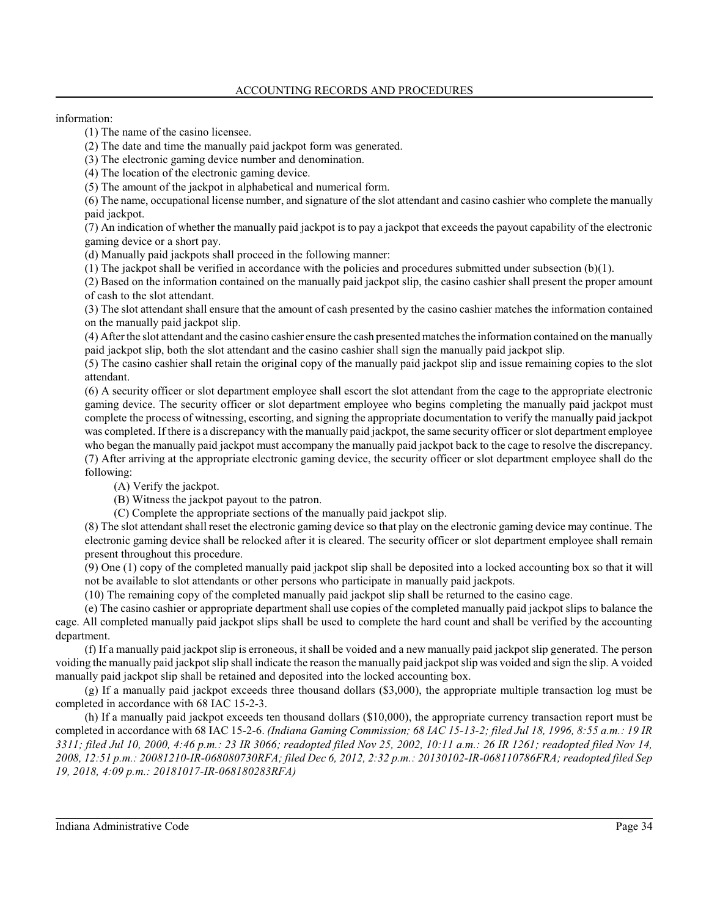### information:

(1) The name of the casino licensee.

(2) The date and time the manually paid jackpot form was generated.

(3) The electronic gaming device number and denomination.

(4) The location of the electronic gaming device.

(5) The amount of the jackpot in alphabetical and numerical form.

(6) The name, occupational license number, and signature of the slot attendant and casino cashier who complete the manually paid jackpot.

(7) An indication of whether the manually paid jackpot is to pay a jackpot that exceeds the payout capability of the electronic gaming device or a short pay.

(d) Manually paid jackpots shall proceed in the following manner:

(1) The jackpot shall be verified in accordance with the policies and procedures submitted under subsection (b)(1).

(2) Based on the information contained on the manually paid jackpot slip, the casino cashier shall present the proper amount of cash to the slot attendant.

(3) The slot attendant shall ensure that the amount of cash presented by the casino cashier matches the information contained on the manually paid jackpot slip.

(4) After the slot attendant and the casino cashier ensure the cash presented matches the information contained on the manually paid jackpot slip, both the slot attendant and the casino cashier shall sign the manually paid jackpot slip.

(5) The casino cashier shall retain the original copy of the manually paid jackpot slip and issue remaining copies to the slot attendant.

(6) A security officer or slot department employee shall escort the slot attendant from the cage to the appropriate electronic gaming device. The security officer or slot department employee who begins completing the manually paid jackpot must complete the process of witnessing, escorting, and signing the appropriate documentation to verify the manually paid jackpot was completed. If there is a discrepancy with the manually paid jackpot, the same security officer orslot department employee who began the manually paid jackpot must accompany the manually paid jackpot back to the cage to resolve the discrepancy. (7) After arriving at the appropriate electronic gaming device, the security officer or slot department employee shall do the following:

(A) Verify the jackpot.

(B) Witness the jackpot payout to the patron.

(C) Complete the appropriate sections of the manually paid jackpot slip.

(8) The slot attendant shall reset the electronic gaming device so that play on the electronic gaming device may continue. The electronic gaming device shall be relocked after it is cleared. The security officer or slot department employee shall remain present throughout this procedure.

(9) One (1) copy of the completed manually paid jackpot slip shall be deposited into a locked accounting box so that it will not be available to slot attendants or other persons who participate in manually paid jackpots.

(10) The remaining copy of the completed manually paid jackpot slip shall be returned to the casino cage.

(e) The casino cashier or appropriate department shall use copies of the completed manually paid jackpot slips to balance the cage. All completed manually paid jackpot slips shall be used to complete the hard count and shall be verified by the accounting department.

(f) If a manually paid jackpot slip is erroneous, it shall be voided and a new manually paid jackpot slip generated. The person voiding the manually paid jackpot slip shall indicate the reason the manually paid jackpot slip was voided and sign the slip. A voided manually paid jackpot slip shall be retained and deposited into the locked accounting box.

(g) If a manually paid jackpot exceeds three thousand dollars (\$3,000), the appropriate multiple transaction log must be completed in accordance with 68 IAC 15-2-3.

(h) If a manually paid jackpot exceeds ten thousand dollars (\$10,000), the appropriate currency transaction report must be completed in accordance with 68 IAC 15-2-6. *(Indiana Gaming Commission; 68 IAC 15-13-2; filed Jul 18, 1996, 8:55 a.m.: 19 IR 3311; filed Jul 10, 2000, 4:46 p.m.: 23 IR 3066; readopted filed Nov 25, 2002, 10:11 a.m.: 26 IR 1261; readopted filed Nov 14, 2008, 12:51 p.m.: 20081210-IR-068080730RFA; filed Dec 6, 2012, 2:32 p.m.: 20130102-IR-068110786FRA; readopted filed Sep 19, 2018, 4:09 p.m.: 20181017-IR-068180283RFA)*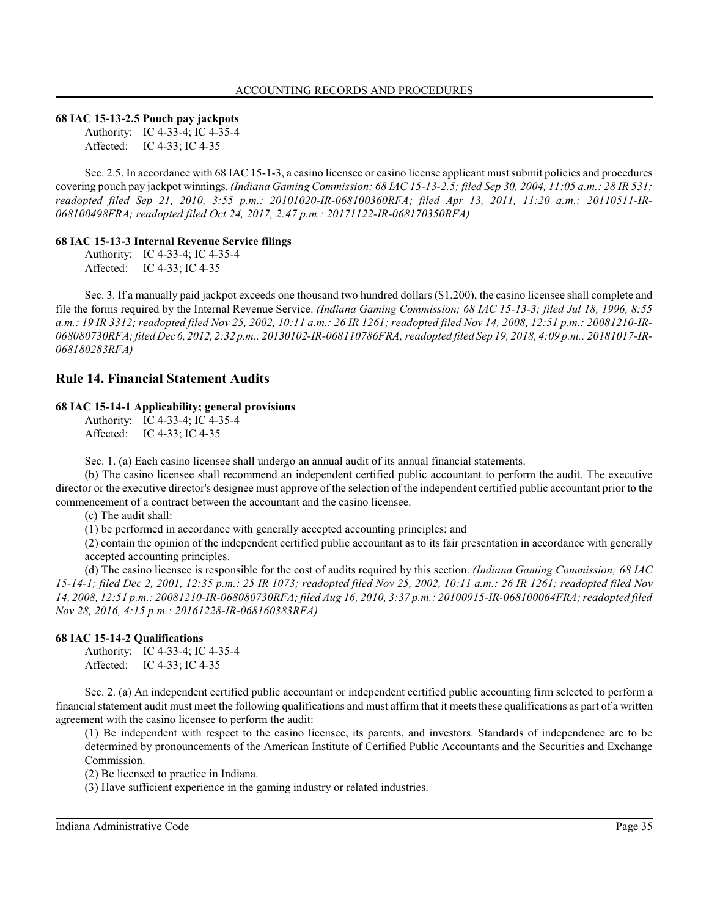### **68 IAC 15-13-2.5 Pouch pay jackpots**

Authority: IC 4-33-4; IC 4-35-4 Affected: IC 4-33; IC 4-35

Sec. 2.5. In accordance with 68 IAC 15-1-3, a casino licensee or casino license applicant mustsubmit policies and procedures covering pouch pay jackpot winnings. *(Indiana Gaming Commission; 68 IAC 15-13-2.5; filed Sep 30, 2004, 11:05 a.m.: 28 IR 531; readopted filed Sep 21, 2010, 3:55 p.m.: 20101020-IR-068100360RFA; filed Apr 13, 2011, 11:20 a.m.: 20110511-IR-068100498FRA; readopted filed Oct 24, 2017, 2:47 p.m.: 20171122-IR-068170350RFA)*

### **68 IAC 15-13-3 Internal Revenue Service filings**

Authority: IC 4-33-4; IC 4-35-4 Affected: IC 4-33; IC 4-35

Sec. 3. If a manually paid jackpot exceeds one thousand two hundred dollars (\$1,200), the casino licensee shall complete and file the forms required by the Internal Revenue Service. *(Indiana Gaming Commission; 68 IAC 15-13-3; filed Jul 18, 1996, 8:55 a.m.: 19 IR 3312; readopted filed Nov 25, 2002, 10:11 a.m.: 26 IR 1261; readopted filed Nov 14, 2008, 12:51 p.m.: 20081210-IR-068080730RFA; filed Dec 6, 2012, 2:32 p.m.: 20130102-IR-068110786FRA; readopted filed Sep 19, 2018, 4:09 p.m.: 20181017-IR-068180283RFA)*

# **Rule 14. Financial Statement Audits**

# **68 IAC 15-14-1 Applicability; general provisions**

Authority: IC 4-33-4; IC 4-35-4 Affected: IC 4-33; IC 4-35

Sec. 1. (a) Each casino licensee shall undergo an annual audit of its annual financial statements.

(b) The casino licensee shall recommend an independent certified public accountant to perform the audit. The executive director or the executive director's designee must approve of the selection of the independent certified public accountant prior to the commencement of a contract between the accountant and the casino licensee.

(c) The audit shall:

(1) be performed in accordance with generally accepted accounting principles; and

(2) contain the opinion of the independent certified public accountant as to its fair presentation in accordance with generally accepted accounting principles.

(d) The casino licensee is responsible for the cost of audits required by this section. *(Indiana Gaming Commission; 68 IAC 15-14-1; filed Dec 2, 2001, 12:35 p.m.: 25 IR 1073; readopted filed Nov 25, 2002, 10:11 a.m.: 26 IR 1261; readopted filed Nov 14, 2008, 12:51 p.m.: 20081210-IR-068080730RFA; filed Aug 16, 2010, 3:37 p.m.: 20100915-IR-068100064FRA; readopted filed Nov 28, 2016, 4:15 p.m.: 20161228-IR-068160383RFA)*

### **68 IAC 15-14-2 Qualifications**

Authority: IC 4-33-4; IC 4-35-4 Affected: IC 4-33; IC 4-35

Sec. 2. (a) An independent certified public accountant or independent certified public accounting firm selected to perform a financial statement audit must meet the following qualifications and must affirm that it meets these qualifications as part of a written agreement with the casino licensee to perform the audit:

(1) Be independent with respect to the casino licensee, its parents, and investors. Standards of independence are to be determined by pronouncements of the American Institute of Certified Public Accountants and the Securities and Exchange Commission.

(2) Be licensed to practice in Indiana.

(3) Have sufficient experience in the gaming industry or related industries.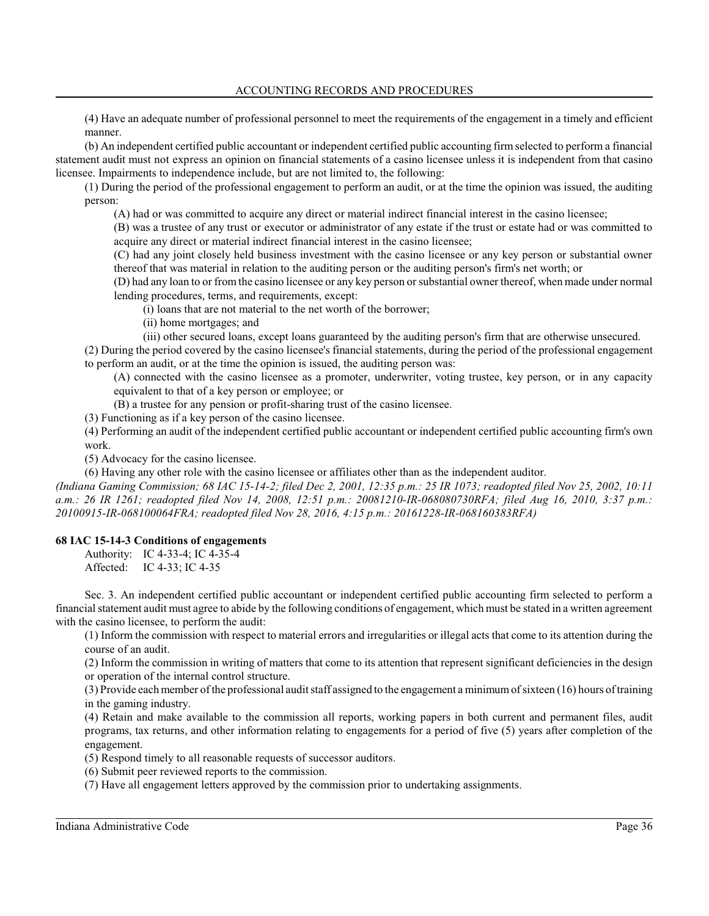(4) Have an adequate number of professional personnel to meet the requirements of the engagement in a timely and efficient manner.

(b) An independent certified public accountant or independent certified public accounting firmselected to perform a financial statement audit must not express an opinion on financial statements of a casino licensee unless it is independent from that casino licensee. Impairments to independence include, but are not limited to, the following:

(1) During the period of the professional engagement to perform an audit, or at the time the opinion was issued, the auditing person:

(A) had or was committed to acquire any direct or material indirect financial interest in the casino licensee;

(B) was a trustee of any trust or executor or administrator of any estate if the trust or estate had or was committed to acquire any direct or material indirect financial interest in the casino licensee;

(C) had any joint closely held business investment with the casino licensee or any key person or substantial owner thereof that was material in relation to the auditing person or the auditing person's firm's net worth; or

(D) had any loan to or from the casino licensee or any key person orsubstantial owner thereof, when made under normal lending procedures, terms, and requirements, except:

(i) loans that are not material to the net worth of the borrower;

(ii) home mortgages; and

(iii) other secured loans, except loans guaranteed by the auditing person's firm that are otherwise unsecured.

(2) During the period covered by the casino licensee's financial statements, during the period of the professional engagement to perform an audit, or at the time the opinion is issued, the auditing person was:

(A) connected with the casino licensee as a promoter, underwriter, voting trustee, key person, or in any capacity equivalent to that of a key person or employee; or

(B) a trustee for any pension or profit-sharing trust of the casino licensee.

(3) Functioning as if a key person of the casino licensee.

(4) Performing an audit of the independent certified public accountant or independent certified public accounting firm's own work.

(5) Advocacy for the casino licensee.

(6) Having any other role with the casino licensee or affiliates other than as the independent auditor.

*(Indiana Gaming Commission; 68 IAC 15-14-2; filed Dec 2, 2001, 12:35 p.m.: 25 IR 1073; readopted filed Nov 25, 2002, 10:11 a.m.: 26 IR 1261; readopted filed Nov 14, 2008, 12:51 p.m.: 20081210-IR-068080730RFA; filed Aug 16, 2010, 3:37 p.m.: 20100915-IR-068100064FRA; readopted filed Nov 28, 2016, 4:15 p.m.: 20161228-IR-068160383RFA)*

# **68 IAC 15-14-3 Conditions of engagements**

Authority: IC 4-33-4; IC 4-35-4 Affected: IC 4-33; IC 4-35

Sec. 3. An independent certified public accountant or independent certified public accounting firm selected to perform a financial statement audit must agree to abide by the following conditions of engagement, which must be stated in a written agreement with the casino licensee, to perform the audit:

(1) Inform the commission with respect to material errors and irregularities or illegal acts that come to its attention during the course of an audit.

(2) Inform the commission in writing of matters that come to its attention that represent significant deficiencies in the design or operation of the internal control structure.

(3) Provide each member of the professional audit staff assigned to the engagement a minimumof sixteen (16) hours of training in the gaming industry.

(4) Retain and make available to the commission all reports, working papers in both current and permanent files, audit programs, tax returns, and other information relating to engagements for a period of five (5) years after completion of the engagement.

(5) Respond timely to all reasonable requests of successor auditors.

(6) Submit peer reviewed reports to the commission.

(7) Have all engagement letters approved by the commission prior to undertaking assignments.